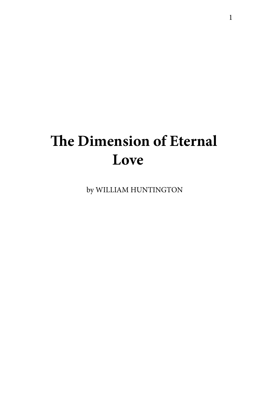# **The Dimension of Eternal Love**

by WILLIAM HUNTINGTON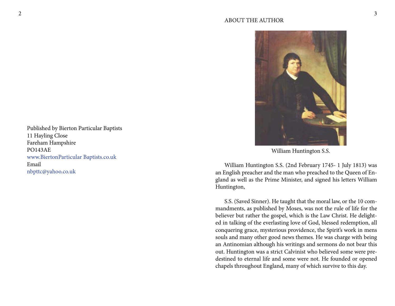

William Huntington S.S.

William Huntington S.S. (2nd February 1745- 1 July 1813) was an English preacher and the man who preached to the Queen of England as well as the Prime Minister, and signed his letters William Huntington,

S.S. (Saved Sinner). He taught that the moral law, or the 10 commandments, as published by Moses, was not the rule of life for the believer but rather the gospel, which is the Law Christ. He delighted in talking of the everlasting love of God, blessed redemption, all conquering grace, mysterious providence, the Spirit's work in mens souls and many other good news themes. He was charge with being an Antinomian although his writings and sermons do not bear this out. Huntington was a strict Calvinist who believed some were predestined to eternal life and some were not. He founded or opened chapels throughout England, many of which survive to this day.

Published by Bierton Particular Baptists 11 Hayling Close Fareham Hampshire PO143AE [www.BiertonParticular Baptists.co.uk](http://www.BiertonParticular Baptists.co.uk) Email [nbpttc@yahoo.co.uk](mailto:nbpttc@yahoo.co.uk)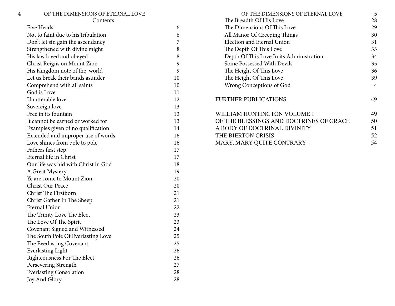| 4 | OF THE DIMENSIONS OF ETERNAL LOVE   |    | OF THE DIMENSIONS OF ETERNAL LOVE        | 5  |
|---|-------------------------------------|----|------------------------------------------|----|
|   | Contents                            |    | The Breadth Of His Love                  | 28 |
|   | Five Heads                          | 6  | The Dimensions Of This Love              | 29 |
|   | Not to faint due to his tribulation | 6  | All Manor Of Creeping Things             | 30 |
|   | Don't let sin gain the ascendancy   | 7  | Election and Eternal Union               | 31 |
|   | Strengthened with divine might      | 8  | The Depth Of This Love                   | 33 |
|   | His law loved and obeyed            | 8  | Depth Of This Love In its Administration | 34 |
|   | Christ Reigns on Mount Zion         | 9  | Some Possessed With Devils               | 35 |
|   | His Kingdom note of the world       | 9  | The Height Of This Love                  | 36 |
|   | Let us break their bands asunder    | 10 | The Height Of This Love                  | 39 |
|   | Comprehend with all saints          | 10 | Wrong Conceptions of God                 | 4  |
|   | God is Love                         | 11 |                                          |    |
|   | Unutterable love                    | 12 | <b>FURTHER PUBLICATIONS</b>              | 49 |
|   | Sovereign love                      | 13 |                                          |    |
|   | Free in its fountain                | 13 | WILLIAM HUNTINGTON VOLUME 1              | 49 |
|   | It cannot be earned or worked for   | 13 | OF THE BLESSINGS AND DOCTRINES OF GRACE  | 50 |
|   | Examples given of no qualification  | 14 | A BODY OF DOCTRINAL DIVINITY             | 51 |
|   | Extended and improper use of words  | 16 | THE BIERTON CRISIS                       | 52 |
|   | Love shines from pole to pole       | 16 | MARY, MARY QUITE CONTRARY                | 54 |
|   | Fathers first step                  | 17 |                                          |    |
|   | Eternal life in Christ              | 17 |                                          |    |
|   | Our life was hid with Christ in God | 18 |                                          |    |
|   | A Great Mystery                     | 19 |                                          |    |
|   | Ye are come to Mount Zion           | 20 |                                          |    |
|   | Christ Our Peace                    | 20 |                                          |    |
|   | Christ The Firstborn                | 21 |                                          |    |
|   | Christ Gather In The Sheep          | 21 |                                          |    |
|   | <b>Eternal Union</b>                | 22 |                                          |    |
|   | The Trinity Love The Elect          | 23 |                                          |    |
|   | The Love Of The Spirit              | 23 |                                          |    |
|   | Covenant Signed and Witnessed       | 24 |                                          |    |
|   | The South Pole Of Everlasting Love  | 25 |                                          |    |
|   | The Everlasting Covenant            | 25 |                                          |    |
|   | <b>Everlasting Light</b>            | 26 |                                          |    |
|   | Righteousness For The Elect         | 26 |                                          |    |
|   | Persevering Strength                | 27 |                                          |    |
|   | <b>Everlasting Consolation</b>      | 28 |                                          |    |
|   | Joy And Glory                       | 28 |                                          |    |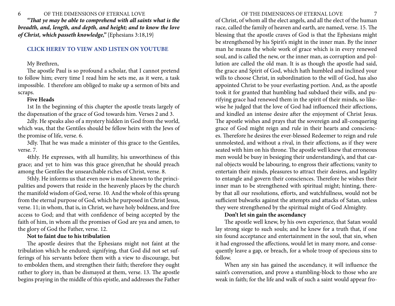<span id="page-3-0"></span>

*"That ye may be able to comprehend with all saints what is the breadth, and, length, and depth, and height; and to know the love of Christ, which passeth knowledge,"* {Ephesians 3:18,19}

#### **[CLICK HEREV TO VIEW AND LISTEN ON YOUTUBE](https://youtu.be/9C7RjyQXzwg)**

#### My Brethren,

The apostle Paul is so profound a scholar, that I cannot pretend to follow him; every time I read him he sets me, as it were, a task impossible. I therefore am obliged to make up a sermon of bits and scraps.

#### **Five Heads**

1st In the beginning of this chapter the apostle treats largely of the dispensation of the grace of God towards him. Verses 2 and 3.

2dly. He speaks also of a mystery hidden in God from the world, which was, that the Gentiles should be fellow heirs with the Jews of the promise of life, verse. 6.

3dly. That he was made a minister of this grace to the Gentiles, verse. 7.

4thly. He expresses, with all humility, his unworthiness of this grace; and yet to him was this grace given,that he should preach among the Gentiles the unsearchable riches of Christ, verse. 8.

5thly. He informs us that even now is made known to the principalities and powers that reside in the heavenly places by the church the manifold wisdom of God, verse. 10. And the whole of this sprung from the eternal purpose of God, which he purposed in Christ Jesus, verse. 11; in whom, that is, in Christ, we have holy boldness, and free access to God; and that with confidence of being accepted by the faith of him, in whom all the promises of God are yea and amen, to the glory of God the Father, verse. 12.

#### **Not to faint due to his tribulation**

The apostle desires that the Ephesians might not faint at the tribulation which he endured; signifying, that God did not set sufferings of his servants before them with a view to discourage, but to embolden them, and strengthen their faith; therefore they ought rather to glory in, than be dismayed at them, verse. 13. The apostle begins praying in the middle of this epistle, and addresses the Father

of Christ, of whom all the elect angels, and all the elect of the human race, called the family of heaven and earth, are named, verse. 15. The blessing that the apostle craves of God is that the Ephesians might be strengthened by his Spirit's might in the inner man. By the inner man he means the whole work of grace which is in every renewed soul, and is called the new, or the inner man, as corruption and pollution are called the old man. It is as though the apostle had said, the grace and Spirit of God, which hath humbled and inclined your wills to choose Christ, in subordination to the will of God, has also appointed Christ to be your everlasting portion. And, as the apostle took it for granted that humbling had subdued their wills, and purifying grace had renewed them in the spirit of their minds, so likewise he judged that the love of God had influenced their affections, and kindled an intense desire after the enjoyment of Christ Jesus. The apostle wishes and prays that the sovereign and all-conquering grace of God might reign and rule in their hearts and consciences. Therefore he desires the ever-blessed Redeemer to reign and rule unmolested, and without a rival, in their affections, as if they were seated with him on his throne. The apostle well knew that erroneous men would be busy in besieging their understanding's, and that carnal objects would be labouring, to engross their affections; vanity to entertain their minds, pleasures to attract their desires, and legality to entangle and govern their consciences. Therefore he wishes their inner man to be strengthened with spiritual might; hinting, thereby that all our resolutions, efforts, and watchfullness, would not be sufficient bulwarks against the attempts and attacks of Satan, unless they were strengthened by the spiritual might of God Almighty.

# **Don't let sin gain the ascendancy**

The apostle well knew, by his own experience, that Satan would lay strong siege to such souls; and he knew for a truth that, if one sin found acceptance and entertainment in the soul, that sin, when it had engrossed the affections, would let in many more, and consequently leave a gap, or breach, for a whole troop of specious sins to follow.

When any sin has gained the ascendancy, it will influence the saint's conversation, and prove a stumbling-block to those who are weak in faith; for the life and walk of such a saint would appear fro-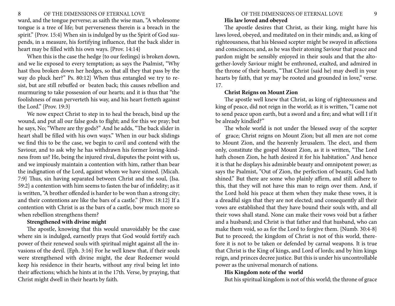#### <span id="page-4-0"></span>8 OF THE DIMENSIONS OF ETERNAL LOVE PHOTOGROUPS OF THE DIMENSIONS OF ETERNAL LOVE PHOTOGROUPS OF THE DIMENSIONS OF ETERNAL LOVE

ward, and the tongue perverse; as saith the wise man, "A wholesome tongue is a tree of life; but perverseness therein is a breach in the spirit." {Prov. 15:4} When sin is indulged by us the Spirit of God suspends, in a measure, his fortifying influence, that the back slider in heart may be filled with his own ways. {Prov. 14:14}

When this is the case the hedge {to our feelings} is broken down, and we lie exposed to every temptation; as says the Psalmist, "Why hast thou broken down her hedges, so that all they that pass by the way do pluck her?" Ps. 80:12} When thus entangled we try to resist, but are still rebuffed or beaten back; this causes rebellion and murmuring to take possession of our hearts; and it is thus that "the foolishness of man perverteth his way, and his heart fretteth against the Lord." {Prov. 19:3}

We now expect Christ to step in to heal the breach, bind up the wound, and put all our false gods to flight; and for this we pray; but he says, No; "Where are thy gods?" And he adds, "The back slider in heart shall be filled with his own ways." When in our back slidings we find this to be the case, we begin to cavil and contend with the Saviour, and to ask why he has withdrawn his former loving-kindness from us? He, being the injured rival, disputes the point with us, and we impiously maintain a contention with him, rather than bear the indignation of the Lord, against whom we have sinned. {Micah. 7:9} Thus, sin having separated between Christ and the soul, {Isa. 59:2} a contention with him seems to fasten the bar of infidelity; as it is written, "A brother offended is harder to be won than a strong city; and their contentions are like the bars of a castle." {Prov. 18:12} If a contention with Christ is as the bars of a castle, bow much more so when rebellion strengthens them?

#### **Strengthened with divine might**

The apostle, knowing that this would unavoidably be the case where sin is indulged, earnestly prays that God would fortify each power of their renewed souls with spiritual might against all the invasions of the devil. {Eph. 3:16} For he well knew that, if their souls were strengthened with divine might, the dear Redeemer would keep his residence in their hearts, without any rival being let into their affections; which he hints at in the 17th. Verse, by praying, that Christ might dwell in their hearts by faith.

# **His law loved and obeyed**

The apostle desires that Christ, as their king, might have his laws loved, obeyed, and meditated on in their minds; and, as king of righteousness, that his blessed scepter might be swayed in affections and consciences; and, as he was their atoning Saviour that peace and pardon might be sensibly enjoyed in their souls and that the altogether-lovely Saviour might be enthroned, exalted, and admired in the throne of their hearts, "That Christ {said he} may dwell in your hearts by faith, that ye may be rooted and grounded in love," verse. 17.

### **Christ Reigns on Mount Zion**

The apostle well knew that Christ, as king of righteousness and king of peace, did not reign in the world; as it is written, "I came not to send peace upon earth, but a sword and a fire; and what will I if it be already kindled?"

The whole world is not under the blessed sway of the scepter of grace; Christ reigns on Mount Zion; but all men are not come to Mount Zion, and the heavenly Jerusalem. The elect, and them only, constitute the gospel Mount Zion, as it is written, "The Lord hath chosen Zion, he hath desired it for his habitation." And hence it is that he displays his admirable beauty and omnipotent power; as says the Psalmist, "Out of Zion, the perfection of beauty, God hath shined." But there are some who plainly affirm, and still adhere to this, that they will not have this man to reign over them. And, if the Lord hold his peace at them when they make these vows, it is a dreadful sign that they are not elected; and consequently all their vows are established that they have bound their souls with, and all their vows shall stand. None can make their vows void but a father and a husband; and Christ is that father and that husband, who can make them void, so as for the Lord to forgive them. {Numb. 30:4-8} But to proceed; the kingdom of Christ is not of this world, therefore it is not to be taken or defended by carnal weapons. It is true that Christ is the King of kings, and Lord of lords; and by him kings reign, and princes decree justice. But this is under his uncontrollable power as the universal monarch of nations.

#### **His Kingdom note of the world**

But his spiritual kingdom is not of this world; the throne of grace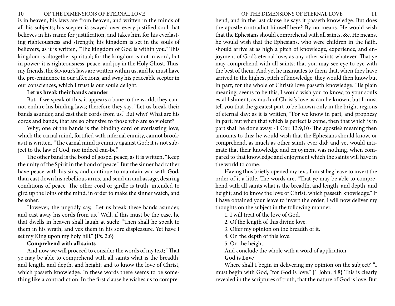<span id="page-5-0"></span>is in heaven; his laws are from heaven, and written in the minds of all his subjects; his scepter is swayed over every justified soul that believes in his name for justification, and takes him for his everlasting righteousness and strength; his kingdom is set in the souls of believers, as it is written, "The kingdom of God is within you." This kingdom is altogether spiritual; for the kingdom is not in word, but in power; it is righteousness, peace, and joy in the Holy Ghost. Thus, my friends, the Saviour's laws are written within us, and he must have the pre-eminence in our affections, and sway his peaceable scepter in our consciences, which I trust is our soul's delight.

#### **Let us break their bands asunder**

But, if we speak of this, it appears a bane to the world; they cannot endure his binding laws; therefore they say, "Let us break their bands asunder, and cast their cords from us." But why? What are his cords and bands, that are so offensive to those who are so violent?

Why; one of the bands is the binding cord of everlasting love, which the carnal mind, fortified with infernal enmity, cannot brook; as it is written, "The carnal mind is enmity against God; it is not subject to the law of God, nor indeed can-be."

The other band is the bond of gospel peace; as it is written, "Keep the unity of the Spirit in the bond of peace." But the sinner had rather have peace with his sins, and continue to maintain war with God, than cast down his rebellious arms, and send an ambassage, desiring conditions of peace. The other cord or girdle is truth, intended to gird up the loins of the mind, in order to make the sinner watch, and be sober.

However, the ungodly say, "Let us break these bands asunder, and cast away his cords from us." Well, if this must be the case, he that dwells in heaven shall laugh at such: "Then shall he speak to them in his wrath, and vex them in his sore displeasure. Yet have I set my King upon my holy hill." {Ps. 2:6}

#### **Comprehend with all saints**

And now we will proceed to consider the words of my text; "That ye may be able to comprehend with all saints what is the breadth, and length, and depth, and height; and to know the love of Christ, which passeth knowledge. In these words there seems to be something like a contradiction. In the first clause he wishes us to comprehend, and in the last clause he says it passeth knowledge. But does the apostle contradict himself here? By no means. He would wish that the Ephesians should comprehend with all saints, &c. He means, he would wish that the Ephesians, who were children in the faith, should arrive at as high a pitch of knowledge, experience, and enjoyment of God's eternal love, as any other saints whatever. That ye may comprehend with all saints; that you may see eye to eye with the best of them. And yet he insinuates to them that, when they have arrived to the highest pitch of knowledge, they would then know but in part; for the whole of Christ's love passeth knowledge. His plain meaning, seems to be this; I would wish you to know, to your soul's establishment, as much of Christ's love as can be known; but I must tell you that the greatest part to be known only in the bright regions of eternal day; as it is written, "For we know in part, and prophesy in part; but when that which is perfect is come, then that which is in part shall be done away. {1 Cor. 13:9,10} The apostle's meaning then amounts to this; he would wish that the Ephesians should know, or comprehend, as much as other saints ever did; and yet would intimate that their knowledge and enjoyment was nothing, when compared to that knowledge and enjoyment which the saints will have in the world to come.

Having thus briefly opened my text, I must beg leave to invert the order of it a little. The words are, "That ye may be able to comprehend with all saints what is the breadth, and length, and depth, and height; and to know the love of Christ, which passeth knowledge." If I have obtained your leave to invert the order, I will now deliver my thoughts on the subject in the following manner.

1. I will treat of the love of God.

2. Of the length of this divine love.

3. Offer my opinion on the breadth of it.

4. On the depth of this love.

5. On the height.

And conclude the whole with a word of application.

#### **God is Love**

Where shall I begin in delivering my opinion on the subject? "I must begin with God, "for God is love." {1 John, 4:8} This is clearly revealed in the scriptures of truth, that the nature of God is love. But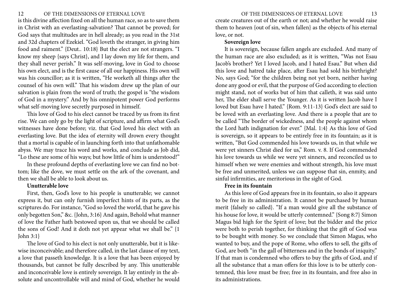<span id="page-6-0"></span>is this divine affection fixed on all the human race, so as to save them in Christ with an everlasting-salvation? That cannot be proved; for God says that multitudes are in hell already; as you read in the 31st and 32d chapters of Ezekiel. "God loveth the stranger, in giving him food and raiment." {Deut.. 10:18} But the elect are not strangers. "I know my sheep {says Christ}, and I lay down my life for them, and they shall never perish." It was self-moving, love in God to choose his own elect, and is the first cause of all our happiness. His own will was his councillor; as it is written, "He worketh all things after the counsel of his own will." That his wisdom drew up the plan of our salvation is plain from the word of truth; the gospel is "the wisdom of God in a mystery." And by his omnipotent power God performs what self-moving love secretly purposed in himself.

This love of God to his elect cannot be traced by us from its first rise. We can only go by the light of scripture, and affirm what God's witnesses have done before; viz. that God loved his elect with an everlasting love. But the idea of eternity will drown every thought that a mortal is capable of in launching forth into that unfathomable abyss. We may trace his word and works, and conclude as Job did, "Lo these are some of his ways; but how little of him is understood!"

In these profound depths of everlasting love we can find no bottom; like the dove, we must settle on the ark of the covenant, and then we shall be able to look about us.

#### **Unutterable love**

First, then, God's love to his people is unutterable; we cannot express it, but can only furnish imperfect hints of its parts, as the scriptures do. For instance, "God so loved the world, that he gave his only begotten Son," &c. {John, 3:16} And again, Behold what manner of love the Father hath bestowed upon us, that we should be called the sons of God! And it doth not yet appear what we shall be." {1 John 3:1}

The love of God to his elect is not only unutterable, but it is likewise inconceivable; and therefore called, in the last clause of my text, a love that passeth knowledge. It is a love that has been enjoyed by thousands, but cannot be fully described by any. This unutterable and inconceivable love is entirely sovereign. It lay entirely in the absolute and uncontrollable will and mind of God, whether he would create creatures out of the earth or not; and whether he would raise them to heaven {out of sin, when fallen} as the objects of his eternal love, or not.

# **Sovereign love**

It is sovereign, because fallen angels are excluded. And many of the human race are also excluded; as it is written, "Was not Esau Jacob's brother? Yet I loved Jacob, and I hated Esau." But when did this love and hatred take place, after Esau had sold his birthright? No, says God; "for the children being not yet born, neither having done any good or evil, that the purpose of God according to election might stand, not of works but of him that calleth, it was said unto her, The elder shall serve the Younger. As it is written Jacob have I loved but Esau have I hated." {Rom. 9:11-13} God's elect are said to be loved with an everlasting love. And there is a people that are to be called "The border of wickedness, and the people against whom the Lord hath indignation for ever." {Mal. 1:4} As this love of God is sovereign, so it appears to be entirely free in its fountain; as it is written, "But God commended his love towards us, in that while we were yet sinners Christ died for us," Rom. v. 8. If God commended his love towards us while we were yet sinners, and reconciled us to himself when we were enemies and without strength, his love must be free and unmerited, unless we can suppose that sin, enmity, and sinful infirmities, are meritorious in the sight of God.

#### **Free in its fountain**

As this love of God appears free in its fountain, so also it appears to be free in its administration. It cannot be purchased by human merit {falsely so called}. "If a man would give all the substance of his house for love, it would be utterly contemned." {Song 8:7} Simon Magus bid high for the Spirit of love; but the bidder and the price were both to perish together, for thinking that the gift of God was to be bought with money. So we conclude that Simon Magus, who wanted to buy, and the pope of Rome, who offers to sell, the gifts of God, are both "in the gall of bitterness and in the bonds of iniquity." If that man is condemned who offers to buy the gifts of God, and if all the substance that a man offers for this love is to be utterly contemned, this love must be free; free in its fountain, and free also in its administrations.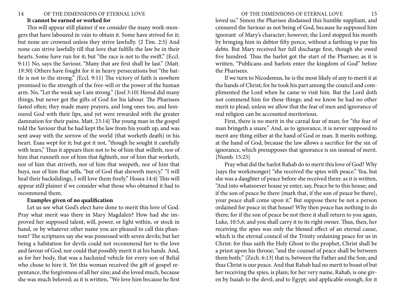### <span id="page-7-0"></span>14 OF THE DIMENSIONS OF ETERNAL LOVE 15 **It cannot be earned or worked for**

This will appear still plainer if we consider the many work-mongers that have laboured in vain to obtain it. Some have strived for it; but none are crowned unless they strive lawfully. {2 Tim. 2:5} And none can strive lawfully till that love that fulfills the law be in their hearts. Some have run for it; but "the race is not to the swift." {Eccl. 9:11} No, says the Saviour, "Many that are first shall be last." {Matt. 19:30} Others have fought for it in heavy persecutions but "the battle is not to the strong." {Eccl. 9:11} The victory of faith is nowhere promised to the strength of the free-will or the power of the human arm. No, "Let the weak say I am strong." {Joel 3:10} Herod did many things, but never got the gifts of God for his labour. The Pharisees fasted often; they made many prayers, and long ones too, and honoured God with their lips, and yet were rewarded with the greater damnation for their pains. Matt. 23:14} The young man in the gospel told the Saviour that he had kept the law from his youth up, and was sent away with the sorrow of the world {that worketh death} in his heart. Esau wept for it; but got it not, "though he sought it carefully with tears," Thus it appears then not to be of him that willeth, nor of him that runneth nor of him that fighteth, nor of him that worketh, nor of him that striveth, nor of him that weepeth, nor of him that buys, nor of him that sells, "but of God that sheweth mercy." "I will heal their backslidings, I will love them freely." Hosea 14:4} This will appear still plainer if we consider what those who obtained it had to recommend them.

# **Examples given of no qualification**

Let us see what God's elect have done to merit this love of God. Pray what merit was there in Mary Magdalen? How had she improved her supposed talent, will, power, or light within, or stock in hand, or by whatever other name you are pleased to call this phantom? The scriptures say she was possessed with seven devils; but her being a habitation for devils could not recommend her to the love and favour of God; nor could that possibly merit it at his hands. And, as for her body, that was a hacknied vehicle for every son of Belial who chose to hire it. Yet this woman received the gift of gospel repentance, the forgiveness of all her sins; and she loved much, because she was much beloved; as it is written, "We love him because he first loved us." Simon the Pharisee disdained this humble suppliant, and censured the Saviour as not being of God, because he supposed him ignorant of Mary's character; however, the Lord stopped his month by bringing him in debtor fifty pence, without a farthing to pay his debts. But Mary received her full discharge first, though she owed five hundred. Thus the harlot got the start of the Pharisee; as it is written, "Publicans and harlots enter the kingdom of God" before the Pharisees.

If we turn to Nicodemus, he is the most likely of any to merit it at the hands of Christ; for he took his part among the council and complimented the Lord when he came to visit him. But the Lord doth not commend him for these things; and we know he had no other merit to plead, unless we allow that the fear of men and ignorance of real religion can be accounted meritorious.

First, there is no merit in the carnal fear of man; for "the fear of man bringeth a snare." And, as to ignorance, it is never supposed to merit any thing either at the hand of God or man. It merits nothing, at the hand of God, because the law allows a sacrifice for the sin of ignorance, which presupposes that ignorance is sin instead of merit. {Numb. 15:25}

Pray what did the harlot Rahab do to merit this love of God? Why {says the workmonger} "she received the spies with peace." Yea, but she was a daughter of peace before she received them: as it is written, "And into whatsoever house ye enter, say, Peace be to this house; and if the son of peace be there {mark that, if the son of peace be there}, your peace shall come upon it." But suppose there be not a person ordained for peace in that house! Why then peace has nothing to do there; for if the son of peace be not there it shall return to you again, Luke, 10:5,6; and you shall carry it to its right owner. Thus, then, her receiving the spies was only the blessed effect of an eternal cause, which is the eternal council of the Trinity ordaining peace for us in Christ: for thus saith the Holy Ghost to the prophet, Christ shall be a priest upon his throne; "and the counsel of peace shall be between them both;" {Zech. 6:13} that is, between the Father and the Son; and thus Christ is our peace. And that Rahab had no merit to boast of but her receiving the spies, is plain; for her very name, Rahab, is one given by Isaiah to the devil, and to Egypt; and applicable enough, for it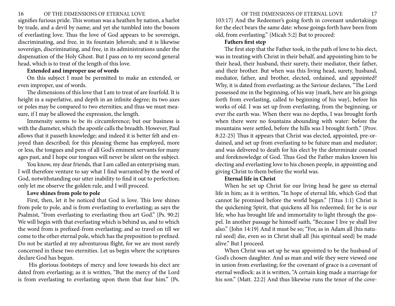<span id="page-8-0"></span>signifies furious pride. This woman was a heathen by nation, a harlot by trade, and a devil by name; and yet she tumbled into the bosom of everlasting love. Thus the love of God appears to be sovereign, discriminating, and free, in its fountain Jehovah; and it is likewise sovereign, discriminating, and free, in its administrations under the dispensation of the Holy Ghost. But I pass on to my second general head, which is to treat of the length of this love.

# **Extended and improper use of words**

On this subject I must be permitted to make an extended, or even improper, use of words.

The dimensions of this love that I am to treat of are fourfold. It is height in a superlative, and depth in an infinite degree; its two axes or poles may be compared to two eternities; and thus we must measure, if I may be allowed the expression, the length.

Immensity seems to be its circumference; but our business is with the diameter, which the apostle calls the breadth. However, Paul allows that it passeth knowledge; and indeed it is better felt and enjoyed than described; for this pleasing theme has employed, more or less, the tongues and pens of all God's eminent servants for many ages past, and I hope our tongues will never be silent on the subject.

You know, my dear friends, that I am called an enterprising man; I will therefore venture to say what I find warranted by the word of God, notwithstanding our utter inability to find it out to perfection; only let me observe the golden rule, and I will proceed.

# **Love shines from pole to pole**

First, then, let it be noticed that God is love. This love shines from pole to pole, and is from everlasting to everlasting; as says the Psalmist, "from everlasting to everlasting thou art God." {Ps. 90:2} We will begin with that everlasting which is behind us, and to which the word from is prefixed-from everlasting; and so travel on till we come to the other eternal pole, which has the preposition to prefixed. Do not be startled at my adventurous flight, for we are most surely concerned in these two eternities. Let us begin where the scriptures declare God has begun.

 His glorious footsteps of mercy and love towards his elect are dated from everlasting; as it is written, "But the mercy of the Lord is from everlasting to everlasting upon them that fear him." {Ps.

103:17} And the Redeemer's going forth in covenant undertakings for the elect bears the same date: whose goings forth have been from old, from everlasting." {Micah 5:2} But to proceed:

#### **Fathers first step**

The first step that the Father took, in the path of love to his elect, was in treating with Christ in their behalf, and appointing him to be their head, their husband, their surety, their mediator, their father, and their brother. But when was this living head, surety, husband, mediator, father, and brother, elected, ordained, and appointed? Why, it is dated from everlasting; as the Saviour declares, "The Lord possessed me in the beginning, of his way {mark, here are his goings forth from everlasting, called to beginning of his way}, before his works of old. I was set up from everlasting, from the beginning, or ever the earth was. When there was no depths, I was brought forth when there were no fountains abounding with water: before the mountains were settled, before the hills was I brought forth." {Prov. 8:22-25} Thus it appears that Christ was elected, appointed, pre-ordained, and set up from everlasting to be future man and mediator; and was delivered to death for his elect by the determinate counsel and foreknowledge of God. Thus God the Father makes known his electing and everlasting love to his chosen people, in appointing and giving Christ to them before the world was.

#### **Eternal life in Christ**

When he set up Christ for our living head he gave us eternal life in him; as it is written, "In hope of eternal life, which God that cannot lie promised before the world began." {Titus 1:1} Christ is the quickening Spirit, that quickens all his redeemed; for he is our life, who has brought life and immortality to light through the gospel. In another passage he himself saith, "Because I live ye shall live also." {John 14:19} And it must be so; "For, as in Adam all {his natural seed} die, even so in Christ shall all {his spiritual seed} be made alive." But I proceed.

When Christ was set up he was appointed to be the husband of God's chosen daughter. And as man and wife they were viewed one in union from everlasting; for the covenant of grace is a covenant of eternal wedlock: as it is written, "A certain king made a marriage for his son." {Matt. 22:2} And thus likewise runs the tenor of the cove-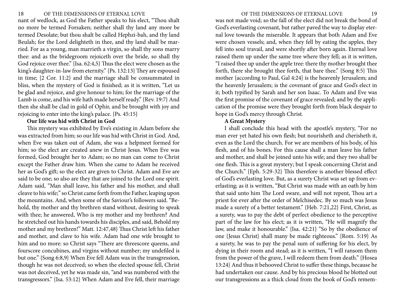<span id="page-9-0"></span>nant of wedlock, as God the Father speaks to his elect, "Thou shalt no more be termed Forsaken; neither shall thy land any more be termed Desolate; but thou shalt be called Hephzi-bah, and thy land Beulah; for the Lord delighteth in thee, and thy land shall be married. For as a young, man marrieth a virgin, so shall thy sons marry thee: and as the bridegroom rejoiceth over the bride, so shall thy God rejoice over thee." {Isa. 62:4,5} Thus the elect were chosen as the king's daughter-in-law from eternity." {Ps. 132:13} They are espoused in time; {2 Cor. 11:2} and the marriage shall be consummated in bliss, when the mystery of God is finished; as it is written, "Let us be glad and rejoice, and give honour to him; for the marriage of the Lamb is come, and his wife hath made herself ready." {Rev. 19:7} And then she shall be clad in gold of Ophir, and be brought with joy and rejoicing to enter into the king's palace. {Ps. 45:15}

# **Our life was hid with Christ in God**

This mystery was exhibited by Eve's existing in Adam before she was extracted from him; so our life was hid with Christ in God. And, when Eve was taken out of Adam, she was a helpmeet formed for him; so the elect are created anew in Christ Jesus. When Eve was formed, God brought her to Adam; so no man can come to Christ except the Father draw him. When she came to Adam he received her as God's gift; so the elect are given to Christ. Adam and Eve are said to be one; so also are they that are joined to the Lord one spirit. Adam said, "Man shall leave, his father and his mother, and shall cleave to his wife;" so Christ came forth from the Father, leaping upon the mountains. And, when some of the Saviour's followers said. "Behold, thy mother and thy brethren stand without, desiring to speak with thee; he answered, Who is my mother and my brethren? And he stretched out his hands towards his disciples, and said, Behold my mother and my brethren!" Matt. 12:47,48} Thus Christ left his father and mother, and clave to his wife. Adam had one wife brought to him and no more: so Christ says "There are threescore queens, and fourscore concubines, and virgins without number; my undefiled is but one." {Song 6:8,9} When Eve fell Adam was in the transgression, though he was not deceived; so when the elected spouse fell, Christ was not deceived, yet he was made sin, "and was numbered with the transgressors." {Isa. 53:12} When Adam and Eve fell, their marriage was not made void; so the fall of the elect did not break the bond of God's everlasting covenant, but rather paved the way to display eternal love towards the miserable. It appears that both Adam and Eve were chosen vessels; and, when they fell by eating the apples, they fell into soul travail, and were shortly after born again. Eternal love raised them up under the same tree where they fell; as it is written, "I raised thee up under the apple tree: there thy mother brought thee forth, there she brought thee forth, that bare thee." {Song 8:5} This mother {according to Paul, Gal 4:24} is the heavenly Jerusalem; and the heavenly Jerusalem; is the covenant of grace and God's elect in it; both typified by Sarah and her son Isaac. To Adam and Eve was the first promise of the covenant of grace revealed; and by the application of the promise were they brought forth from black despair to hope in God's mercy through Christ.

#### **A Great Mystery**

I shall conclude this head with the apostle's mystery, "For no man ever yet hated his own flesh; but nourisheth and cherisheth it, even as the Lord the church. For we are members of his body, of his flesh, and of his bones. For this cause shall a man leave his father and mother, and shall be joined unto his wife; and they two shall be one flesh. This is a great mystery; but I speak concerning Christ and the Church." {Eph. 5:29-32} This therefore is another blessed effect of God's everlasting love. But, as a surety Christ was set up from everlasting; as it is written, "But Christ was made with an oath by him that said unto him The Lord sware, and will not repent, Thou art a priest for ever after the order of Melchisedec. By so much was Jesus made a surety of a better testament." {Heb. 7:21,22} First, Christ, as a surety, was to pay the debt of perfect obedience to the perceptive part of the law for his elect; as it is written, "He will magnify the law, and make it honourable." {Isa. 42:21} "So by the obedience of one {Jesus Christ} shall many be made righteous." {Rom. 5:19} As a surety, he was to pay the penal sum of suffering for his elect, by dying in their room and stead; as it is written, "I will ransom them from the power of the grave, I will redeem them from death." {Hosea 13:24} And thus it behooved Christ to suffer these things, because he had undertaken our cause. And by his precious blood he blotted out our transgressions as a thick cloud from the book of God's remem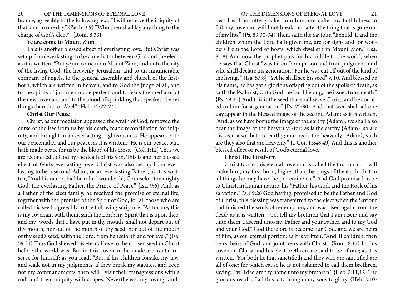<span id="page-10-0"></span>brance, agreeably to the following text, "I will remove the iniquity of that land in one day." {Zech. 3:9} "Who then shall lay any thing to the charge of God's elect?" {Rom. 8:33}

# **Ye are come to Mount Zion**

This is another blessed effect of everlasting love. But Christ was set up from everlasting, to be a mediator between God and the elect; as it is written, "But ye are come unto Mount Zion, and unto the city of the living God, the heavenly Jerusalem, and to an innumerable company of angels, to the general assembly and church of the firstborn, which are written in heaven, and to God the Judge of all, and to the spirits of just men made perfect, and to Jesus the mediator of the new covenant, and to the blood of sprinkling that speaketh better things than that of Abel." {Heb. 12:22-24}

#### **Christ Our Peace**

Christ, as our mediator, appeased the wrath of God, removed the curse of the law from us by his death, made reconciliation for iniquity, and brought in an everlasting, righteousness. He appears both our peacemaker and our peace; as it is written, "He is our peace, who hath made peace for us by the blood of his cross." {Col. 1:12} Thus we are reconciled to God by the death of his Son. This is another blessed effect of God's everlasting love. Christ was also set up from everlasting to be a second Adam, or an everlasting Father; as it is written, "And his name shall be called wonderful, Counselor, the mighty God, the everlasting Father, the Prince of Peace." {Isa. 9:6} And, as a Father of the elect family, he received the promise of eternal life, together with the promise of the Spirit of God, for all those who are called his seed, agreeably to the following scripture: "As for me, this is my covenant with them, saith the Lord; my Spirit that is upon thee, and my words that I have put in thy mouth, shall not depart out of thy mouth, nor out of the month of thy seed, nor out of the mouth of thy seed's seed, saith the Lord, from henceforth and for ever," {Isa. 59:21} Thus God shewed his eternal love to the chosen seed in Christ before the world was. But in this covenant he made a parental reserve for himself; as you read, "But, if his children forsake my law, and walk not in my judgments; if they break my statutes, and keep not my commandments; then will I visit their transgressions with a rod, and their iniquity with stripes. Nevertheless, my loving-kindness I will not utterly take from him, nor suffer my faithfulness to fail: my covenant will I not break, nor alter the thing that is gone out of my lips." {Ps. 89:30-34} Then, saith the Saviour, "Behold, I, and the children whom the Lord hath given me, are for signs and for wonders from the Lord of hosts, which dwelleth in Mount Zion." {Isa. 8:18} And now the prophet puts forth a riddle to the world, when he says that Christ "was taken from prison and from judgment: and who shall declare his generation? For he was cut off out of the land of the living. " {Isa. 53:8} "Yet he shall see his seed" v. 10. And blessed be his name, he has got a glorious offspring out of the spoils of death, as saith the Psalmist, Unto God the Lord belong, the issues from death." {Ps. 68:20} And this is the seed that shall serve Christ, and be counted to him for a generation." {Ps. 22:30} And that seed shall all one day appear in the blessed image of the second Adam; as it is written, "And, as we have borne the image of the earthy {Adam}, we shall also bear the image of the heavenly: {for} as is the earthy {Adam}, so are his seed also that are earthy; and, as is the heavenly {Adam}, such are they also that are heavenly." {1 Cor. 15:48,49} And this is another blessed effect or result of God's eternal love.

# **Christ The Firstborn**

Christ too in this eternal covenant is called the first-born: "I will make him, my first-born, higher than the kings of the earth; that in all things he may have the pre-eminence." And God promised to be to Christ, in human nature, his "Father, his God, and the Rock of his salvation." Ps. 89:26 God having, promised to be the Father and God of Christ, this blessing was transferred to the elect when the Saviour had finished the work of redemption, and was risen again from the dead; as it is written, "Go, tell my brethren that I am risen; and say unto them, I ascend unto my Father and your Father, and to my God and your God." God therefore is become our God, and we are heirs of him, as our eternal portion; as it is written, "And, if children, then heirs, heirs of God, and joint heirs with Christ." {Rom. 8:17} In this covenant Christ and his elect brethren are said to be of one; as it is written, "For both he that sanctifieth and they who are sanctified are all of one; for which cause he is not ashamed to call them brethren, saying, I will declare thy name unto my brethren." {Heb. 2:11,12} The glorious result of all this is to bring many sons to glory. {Heb. 2:10}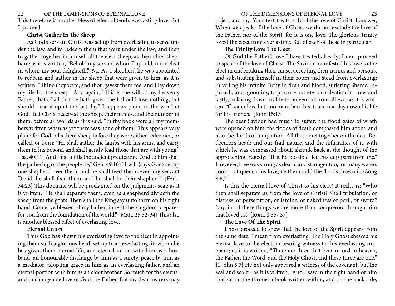<span id="page-11-0"></span>This therefore is another blessed effect of God's everlasting love. But I proceed.

# **Christ Gather In The Sheep**

As God's servant Christ was set up from everlasting to serve under the law, and to redeem them that were under the law; and then to gather together in himself all the elect sheep, as their chief shepherd; as it is written, "Behold my servant whom I uphold, mine elect in whom my soul delighteth," &c. As a shepherd he was appointed to redeem and gather in the sheep that were given to him; as it is written, "Thine they were, and thou gavest them me, and I lay down my life for the sheep." And again, "This is the will of my heavenly Father, that of all that he hath given me I should lose nothing, but should raise it up at the last day." It appears plain, in the word of God, that Christ received the sheep, their names, and the number of them, before all worlds as it is said, "In thy book were all my members written when as yet there was none of them." This appears very plain; for God calls them sheep before they were either redeemed, or called, or born: "He shall gather the lambs with his arms, and carry them in his bosom, and shall gently lead those that are with young." {Isa. 40:11} And this fulfills the ancient prediction, "And to him shall the gathering of the people be," Gen. 49:10} "I will {says God} set up one shepherd over them, and he shall feed them, even my servant David: he shall feed them, and he shall be their shepherd." {Ezek. 34:23} This doctrine will be proclaimed on the judgment- seat; as it is written, "He shall separate them, even as a shepherd divideth the sheep from the goats. Then shall the King say unto them on his right hand. Come, ye blessed of my Father, inherit the kingdom prepared for you from the foundation of the world." {Matt. 25:32-34} This also is another blessed effect of everlasting love.

# **Eternal Union**

Thus God has shewn his everlasting love to the elect in appointing them such a glorious head, set up from everlasting; in whom he has given them eternal life, and eternal union with him as a husband, an honourable discharge by him as a surety, peace by him as a mediator, adopting grace in him as an everlasting father, and an eternal portion with him as an elder brother. So much for the eternal and unchangeable love of God the Father. But my dear hearers may

object and say, Your text treats only of the love of Christ. I answer, When we speak of the love of Christ we do not exclude the love of the Father, nor of the Spirit, for it is one love. The glorious Trinity loved the elect from everlasting. But of each of these in particular.

# **The Trinity Love The Elect**

Of God the Father's love I have treated already; I next proceed to speak of the love of Christ. The Saviour manifested his love to the elect in undertaking their cause, accepting their names and persons, and substituting himself in their room and stead from everlasting; in veiling his infinite Deity in flesh and blood, suffering Shame, reproach, and ignominy, to procure our eternal salvation in time; and lastly, in laying down his life to redeem us from all evil; as it is written, "Greater love hath no man than this, that a man lay down his life for his friends." {John 15:13}

The dear Saviour had much to suffer; the flood gates of wrath were opened on him, the floods of death compassed him about, and also the floods of temptation. All these met together on the dear Redeemer's head; and our frail nature, and the infirmities of it, with which he was compassed about, shrunk back at the thought of the approaching tragedy: "If it be possible, let this cup pass from me." However, love was strong as death, and stronger too; for many waters could not quench his love, neither could the floods drown it. {Song 8:6,7}

Is this the eternal love of Christ to his elect? It really is; "Who then shall separate us from the love of Christ? Shall tribulation, or distress, or persecution, or famine, or nakedness or peril, or sword? Nay, in all these things we are more than conquerors through him that loved us." {Rom. 8:35- 37}

# **The Love Of The Spirit**

I next proceed to shew that the love of the Spirit appears from the same date; I mean from everlasting. The Holy Ghost shewed his eternal love to the elect, in bearing witness to this everlasting covenant; as it is written, "There are three that bear record in heaven, the Father, the Word, and the Holy Ghost, and these three are one." {1 John 5:7} He not only appeared a witness of the covenant, but the seal and sealer; as it is written; "And I saw in the right hand of him that sat on the throne, a book written within, and on the back side,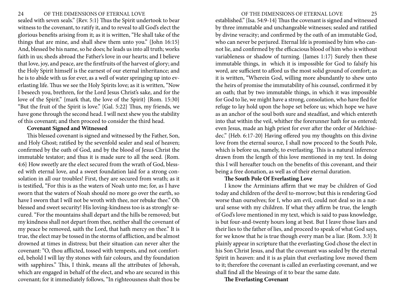<span id="page-12-0"></span>sealed with seven seals." {Rev. 5:1} Thus the Spirit undertook to bear witness to the covenant, to ratify it, and to reveal to all God's elect the glorious benefits arising from it; as it is written, "He shall take of the things that are mine, and shall shew them unto you." {John 16:15} And, blessed be his name, so he does; he leads us into all truth; works faith in us; sheds abroad the Father's love in our hearts; and I believe that love, joy, and peace, are the firstfruits of the harvest of glory; and the Holy Spirit himself is the earnest of our eternal inheritance; and he is to abide with us for ever, as a well of water springing up into everlasting life. Thus we see the Holy Spirits love; as it is written, "Now I beseech you, brethren, for the Lord Jesus Christ's sake, and for the love of the Spirit." {mark that, the love of the Spirit} {Rom. 15:30} "But the fruit of the Spirit is love." {Gal. 5:22} Thus, my friends, we have gone through the second head. I will next shew you the stability of this covenant; and then proceed to consider the third head.

#### **Covenant Signed and Witnessed**

This blessed covenant is signed and witnessed by the Father, Son, and Holy Ghost; ratified by the sevenfold sealer and seal of heaven; confirmed by the oath of God, and by the blood of Jesus Christ the immutable testator; and thus it is made sure to all the seed. {Rom. 4:6} How sweetly are the elect secured from the wrath of God, blessed with eternal love, and a sweet foundation laid for a strong consolation in all our troubles! First, they are secured from wrath; as it is testified, "For this is as the waters of Noah unto me; for, as I have sworn that the waters of Noah should no more go over the earth, so have I sworn that I will not be wroth with thee, nor rebuke thee." Oh blessed and sweet security! His loving-kindness too is as strongly secured. "For the mountains shall depart and the hills be removed; but my kindness shall not depart from thee, neither shall the covenant of my peace be removed, saith the Lord, that hath mercy on thee." It is true, the elect may be tossed in the storms of affliction, and be almost drowned at times in distress; but their situation can never alter the covenant: "O, thou afflicted, tossed with tempests, and not comforted, behold I will lay thy stones with fair colours, and thy foundation with sapphires." This, I think, means all the attributes of Jehovah, which are engaged in behalf of the elect, and who are secured in this covenant; for it immediately follows, "In righteousness shalt thou be

established." {Isa. 54:9-14} Thus the covenant is signed and witnessed by three immutable and unchangeable witnesses; sealed and ratified by divine veracity; and confirmed by the oath of an immutable God, who can never be perjured. Eternal life is promised by him who cannot lie, and confirmed by the efficacious blood of him who is without variableness or shadow of turning. {James 1:17} Surely then these immutable things, in which it is impossible for God to falsify his word, are sufficient to afford us the most solid ground of comfort; as it is written, "Wherein God, willing more abundantly to shew unto the heirs of promise the immutability of his counsel, confirmed it by an oath; that by two immutable things, in which it was impossible for God to lie, we might have a strong, consolation, who have fled for refuge to lay hold upon the hope set before us; which hope we have as an anchor of the soul both sure and steadfast, and which entereth into that within the veil, whither the forerunner hath for us entered; even Jesus, made an high priest for ever after the order of Melchisedec." {Heb. 6:17-20} Having offered you my thoughts on this divine love from the eternal source, I shall now proceed to the South Pole, which is before us, namely, to everlasting. This is a natural inference drawn from the length of this love mentioned in my text. In doing this I will hereafter touch on the benefits of this covenant, and their being a free donation, as well as of their eternal duration.

#### **The South Pole Of Everlasting Love**

I know the Arminians affirm that we may be children of God today and children of the devil to-morrow; but this is rendering God worse than ourselves; for I, who am evil, could not deal so in a natural sense with my children. If what they affirm be true, the length of God's love mentioned in my text, which is said to pass knowledge, is but four-and-twenty hours long at best. But I leave those liars and their lies to the father of lies, and proceed to speak of what God says, for we know that he is true though every man be a liar. {Rom. 3:3} It plainly appear in scripture that the everlasting God chose the elect in his Son Christ Jesus, and that the covenant was sealed by the eternal Spirit in heaven: and it is as plain that everlasting love moved them to it; therefore the covenant is called an everlasting covenant, and we shall find all the blessings of it to bear the same date.

**The Everlasting Covenant**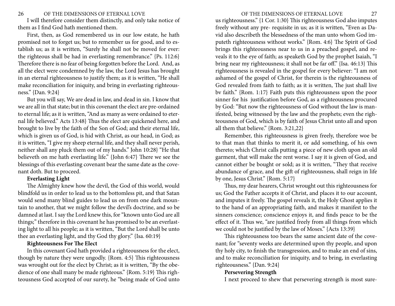#### <span id="page-13-0"></span>26 OF THE DIMENSIONS OF ETERNAL LOVE 27

I will therefore consider them distinctly, and only take notice of them as I find God hath mentioned them.

First, then, as God remembered us in our low estate, he hath promised not to forget us; but to remember us for good, and to establish us; as it is written, "Surely he shall not be moved for ever: the righteous shall be had in everlasting remembrance." {Ps. 112:6} Therefore there is no fear of being forgotten before the Lord. And, as all the elect were condemned by the law, the Lord Jesus has brought in an eternal righteousness to justify them; as it is written, "He shall make reconciliation for iniquity, and bring in everlasting righteousness." {Dan. 9:24}

But you will say, We are dead in law, and dead in sin. I know that we are all in that state; but in this covenant the elect are pre-ordained to eternal life; as it is written, "And as many as were ordained to eternal life believed." Acts 13:48} Thus the elect are quickened here, and brought to live by the faith of the Son of God; and their eternal life, which is given us of God, is hid with Christ, as our head, in God; as it is written, "I give my sheep eternal life, and they shall never perish, neither shall any pluck them out of my hands." John 10:28} "He that believeth on me hath everlasting life." {John 6:47} There we see the blessings of this everlasting covenant bear the same date as the covenant doth. But to proceed.

#### **Everlasting Light**

The Almighty knew how the devil, the God of this world, would blindfold us in order to lead us to the bottomless pit, and that Satan would send many blind guides to lead us on from one dark mountain to another, that we might follow the devil's doctrine, and so be damned at last. I say the Lord knew this, for "known unto God are all things;" therefore in this covenant he has promised to be an everlasting light to all his people; as it is written, "But the Lord shall be unto thee an everlasting light, and thy God thy glory." {Isa. 60:19}

# **Righteousness For The Elect**

In this covenant God hath provided a righteousness for the elect, though by nature they were ungodly. {Rom. 4:5} This righteousness was wrought out for the elect by Christ; as it is written, "By the obedience of one shall many be made righteous." {Rom. 5:19} This righteousness God accepted of our surety, he "being made of God unto us righteousness." {1 Cor. 1:30} This righteousness God also imputes freely without any pre- requisite in us; as it is written, "Even as David also describeth the blessedness of the man unto whom God imputeth righteousness without works." {Rom. 4:6} The Spirit of God brings this righteousness near to us in a preached gospel, and reveals it to the eye of faith; as speaketh God by the prophet Isaiah, "I bring near my righteousness; it shall not be far off." {Isa. 46:13} This righteousness is revealed in the gospel for every believer: "I am not ashamed of the gospel of Christ, for therein is the righteousness of God revealed from faith to faith; as it is written, The just shall live

by God: "But now the righteousness of God without the law is manifested, being witnessed by the law and the prophets; even the righteousness of God, which is by faith of Jesus Christ unto all and upon all them that believe." {Rom. 3:21,22} Remember, this righteousness is given freely, therefore woe be

bv faith." {Rom. 1:17} Faith puts this righteousness upon the poor sinner for his justification before God, as a righteousness procured

to that man that thinks to merit it, or add something, of his own thereto; which Christ calls putting a piece of new cloth upon an old garment, that will make the rent worse. I say it is given of God, and cannot either be bought or sold; as it is written, "They that receive abundance of grace, and the gift of righteousness, shall reign in life by one, Jesus Christ." {Rom. 5:17}

Thus, my dear hearers, Christ wrought out this righteousness for us; God the Father accepts it of Christ, and places it to our account, and imputes it freely. The gospel reveals it, the Holy Ghost applies it to the hand of an appropriating faith, and makes it manifest to the sinners conscience; conscience enjoys it, and finds peace to be the effect of it. Thus we, "are justified freely from all things from which we could not be justified by the law of Moses." {Acts 13:39}

This righteousness too bears the same ancient date of the covenant; for "seventy weeks are determined upon thy people, and upon thy holy city, to finish the transgression, and to make an end of sins, and to make reconciliation for iniquity, and to bring, in everlasting righteousness." {Dan. 9:24}

#### **Persevering Strength**

I next proceed to shew that persevering strength is most sure-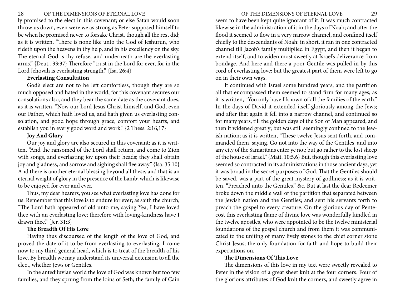<span id="page-14-0"></span>ly promised to the elect in this covenant; or else Satan would soon throw us down, even were we as strong as Peter supposed himself to be when he promised never to forsake Christ, though all the rest did; as it is written, "There is none like unto the God of Jeshurun, who rideth upon the heavens in thy help, and in his excellency on the sky. The eternal God is thy refuse, and underneath are the everlasting arms." {Deut.. 33:37} Therefore "trust in the Lord for ever, for in the Lord Jehovah is everlasting strength." {Isa. 26:4}

#### **Everlasting Consultation**

God's elect are not to be left comfortless, though they are so much opposed and hated in the world; for this covenant secures our consolations also, and they bear the same date as the covenant does, as it is written, "Now our Lord Jesus Christ himself, and God, even our Father, which hath loved us, and hath given us everlasting consolation, and good hope through grace, comfort your hearts, and establish you in every good word and work." {2 Thess. 2:16,17}

# **Joy And Glory**

Our joy and glory are also secured in this covenant; as it is written, "And the ransomed of the Lord shall return, and come to Zion with songs, and everlasting joy upon their heads; they shall obtain joy and gladness, and sorrow and sighing shall flee away." {Isa. 35:10} And there is another eternal blessing beyond all these, and that is an eternal weight of glory in the presence of the Lamb; which is likewise to be enjoyed for ever and ever.

Thus, my dear hearers, you see what everlasting love has done for us. Remember that this love is to endure for ever; as saith the church, "The Lord hath appeared of old unto me, saying Yea, I have loved thee with an everlasting love; therefore with loving-kindness have I drawn thee." {Jer. 31:3}

#### **The Breadth Of His Love**

Having thus discoursed of the length of the love of God, and proved the date of it to be from everlasting to everlasting, I come now to my third general head, which is to treat of the breadth of his love. By breadth we may understand its universal extension to all the elect, whether Jews or Gentiles.

In the antediluvian world the love of God was known but too few families, and they sprung from the loins of Seth; the family of Cain seem to have been kept quite ignorant of it. It was much contracted likewise in the administration of it in the days of Noah; and after the flood it seemed to flow in a very narrow channel, and confined itself chiefly to the descendants of Noah: in short, it ran in one contracted channel till Jacob's family multiplied in Egypt, and then it began to extend itself, and to widen most sweetly at Israel's deliverance from bondage. And here and there a poor Gentile was pulled in by this cord of everlasting love: but the greatest part of them were left to go on in their own ways.

It continued with Israel some hundred years, and the partition all that encompassed them seemed to stand firm for many ages; as it is written, "You only have I known of all the families of the earth." In the days of David it extended itself gloriously among the Jews; and after that again it fell into a narrow channel, and continued so for many years, till the golden days of the Son of Man appeared, and then it widened greatly; but was still seemingly confined to the Jewish nation; as it is written, "These twelve Jesus sent forth, and commanded them, saying, Go not into the way of the Gentiles, and into any city of the Samaritans enter ye not; but go rather to the lost sheep of the house of Israel." {Matt. 10:5,6} But, though this everlasting love seemed so contracted in its administrations in those ancient days, yet it was broad in the secret purposes of God. That the Gentiles should be saved, was a part of the great mystery of godliness; as it is written, "Preached unto the Gentiles," &c. But at last the dear Redeemer broke down the middle wall of the partition that separated between the Jewish nation and the Gentiles; and sent his servants forth to preach the gospel to every creature. On the glorious day of Pentecost this everlasting flame of divine love was wonderfully kindled in the twelve apostles, who were appointed to be the twelve ministerial foundations of the gospel church and from them it was communicated to the uniting of many lively stones to the chief corner stone Christ Jesus; the only foundation for faith and hope to build their expectations on.

# **The Dimensions Of This Love**

The dimensions of this love in my text were sweetly revealed to Peter in the vision of a great sheet knit at the four corners. Four of the glorious attributes of God knit the corners, and sweetly agree in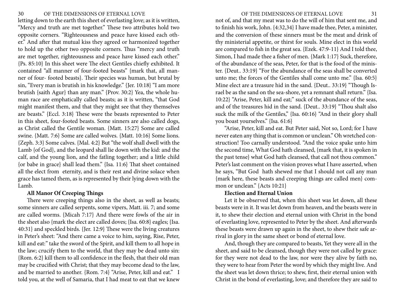<span id="page-15-0"></span>letting down to the earth this sheet of everlasting love; as it is written, "Mercy and truth are met together." These two attributes hold two opposite corners. "Righteousness and peace have kissed each other." And after that mutual kiss they agreed or harmonized together to hold up the other two opposite corners. Thus "mercy and truth are met together, righteousness and peace have kissed each other." {Ps. 85:10} In this sheet were The elect Gentiles chiefly exhibited. It contained "all manner of four-footed beasts" {mark that, all manner of four- footed beasts}. Their species was human, but brutal by sin, "Every man is brutish in his knowledge." {Jer. 10:18} "I am more brutish {saith Agur} than any man." {Prov. 30:2} Yea, the whole human race are emphatically called beasts; as it is written, "that God might manifest them, and that they might see that they themselves are beasts." {Eccl. 3:18} These were the beasts represented to Peter in this sheet, four-footed beasts. Some sinners are also called dogs, as Christ called the Gentile woman. {Matt. 15:27} Some are called swine. {Matt. 7:6} Some are called wolves. {Matt. 10:16} Some lions. {Zeph. 3:3} Some calves. {Mal. 4:2} But "the wolf shall dwell with the Lamb {of God}, and the leopard shall lie down with the kid: and the calf, and the young lion, and the fatling together; and a little child {or babe in grace} shall lead them." {Isa. 11:6} That sheet contained all the elect from eternity, and is their rest and divine solace when grace has tamed them, as is represented by their lying down with the Lamb.

# **All Manor Of Creeping Things**

There were creeping things also in the sheet, as well as beasts; some sinners are called serpents, some vipers, Matt. iii. 7; and some are called worms. {Micah 7:17} And there were fowls of the air in the sheet also {mark the elect are called doves; {Isa. 60:8} eagles; {Isa. 40:31} and speckled birds. {Jer. 12:9} These were the living creatures in Peter's sheet: "And there came a voice to him, saying, Rise, Peter, kill and eat:" take the sword of the Spirit, and kill them to all hope in the law; crucify them to the world, that they may be dead unto sin: {Rom. 6:2} kill them to all confidence in the flesh, that their old man may be crucified with Christ; that they may become dead to the law, and be married to another. {Rom. 7:4} "Arise, Peter, kill and eat." I told you, at the well of Samaria, that I had meat to eat that we knew

not of, and that my meat was to do the will of him that sent me, and to finish his work, John. {4:32,34} I have made thee, Peter, a minister, and the conversion of these sinners must be the meat and drink of thy ministerial appetite, or thirst for souls. Mine elect in this world are compared to fish in the great sea. {Ezek. 47:9-11} And I told thee, Simon, I had made thee a fisher of men. {Mark 1:17} Suck, therefore, of the abundance of the seas, Peter, for that is the food of the minister. {Deut.. 33:19} "For the abundance of the seas shall be converted unto me; the forces of the Gentiles shall come unto me." {Isa. 60:5} Mine elect are a treasure hid in the sand. {Deut.. 33:19} "Though Israel be as the sand on the sea-shore, yet a remnant shall return." {Isa. 10:22} "Arise, Peter, kill and eat;" suck of the abundance of the seas,

and of the treasures hid in the sand. {Deut.. 33:19} "Thou shalt also suck the milk of the Gentiles," {Isa. 60:16} "And in their glory shall you boast yourselves." {Isa. 61:6}

"Arise, Peter, kill and eat. But Peter said, Not so, Lord; for I have never eaten any thing that is common or unclean." Oh wretched construction! Too carnally understood. "And the voice spake unto him the second time, What God hath cleansed, {mark that, it is spoken in the past tense} what God hath cleansed, that call not thou common." Peter's last comment on the vision proves what I have asserted, when he says, "But God hath shewed me that I should not call any man {mark here, these beasts and creeping things are called men} common or unclean." {Acts 10:21}

### **Election and Eternal Union**

Let it be observed that, when this sheet was let down, all these beasts were in it. It was let down from heaven, and the beasts were in it, to shew their election and eternal union with Christ in the bond of everlasting love, represented to Peter by the sheet. And afterwards these beasts were drawn up again in the sheet, to shew their safe arrival in glory in the same sheet or bond of eternal love.

And, though they are compared to beasts, Yet they were all in the sheet, and said to be cleansed, though they were not called by grace: for they were not dead to the law, nor were they alive by faith no, they were to hear from Peter the word by which they might live. And the sheet was let down thrice; to shew, first, their eternal union with Christ in the bond of everlasting, love; and therefore they are said to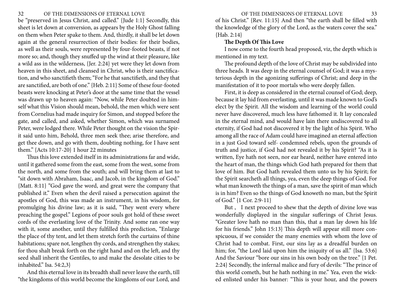<span id="page-16-0"></span>be "preserved in Jesus Christ, and called." {Jude 1:1} Secondly, this sheet is let down at conversion, as appears by the Holy Ghost falling on them when Peter spake to them. And, thirdly, it shall be let down again at the general resurrection of their bodies: for their bodies, as well as their souls, were represented by four-footed beasts, if not more so; and, though they snuffed up the wind at their pleasure, like a wild ass in the wilderness, {Jer. 2:24} yet were they let down from heaven in this sheet, and cleansed in Christ, who is their sanctification, and who sanctifieth them; "For he that sanctifieth, and they that are sanctified, are both of one." {Heb. 2:11} Some of these four-footed beasts were knocking at Peter's door at the same time that the vessel was drawn up to heaven again: "Now, while Peter doubted in himself what this Vision should mean, behold, the men which were sent from Cornelius had made inquiry for Simon, and stopped before the gate, and called, and asked, whether Simon, which was surnamed Peter, were lodged there. While Peter thought on the vision the Spirit said unto him, Behold, three men seek thee; arise therefore, and get thee down, and go with them, doubting nothing, for I have sent them." {Acts 10:17-20} 1 hour 22 minutes

Thus this love extended itself in its administrations far and wide, until it gathered some from the east, some from the west, some from the north, and some from the south; and will bring them at last to "sit down with Abraham, Isaac, and Jacob, in the kingdom of God." {Matt. 8:11} "God gave the word, and great were the company that published it." Even when the devil raised a persecution against the apostles of God, this was made an instrument, in his wisdom, for promulging his divine law; as it is said, "They went every where preaching the gospel." Legions of poor souls got hold of these sweet cords of the everlasting love of the Trinity. And some ran one way with it, some another, until they fulfilled this prediction, "Enlarge the place of thy tent, and let them stretch forth the curtains of thine habitations; spare not, lengthen thy cords, and strengthen thy stakes; for thou shalt break forth on the right hand and on the left, and thy seed shall inherit the Gentiles, to and make the desolate cities to be inhabited." Isa. 54:2,3}

And this eternal love in its breadth shall never leave the earth, till "the kingdoms of this world become the kingdoms of our Lord, and of his Christ." {Rev. 11:15} And then "the earth shall be filled with the knowledge of the glory of the Lord, as the waters cover the sea." {Hab. 2:14}

# **The Depth Of This Love**

I now come to the fourth head proposed, viz, the depth which is mentioned in my text.

The profound depth of the love of Christ may be subdivided into three heads. It was deep in the eternal counsel of God; it was a mysterious depth in the agonizing sufferings of Christ; and deep in the manifestation of it to poor mortals who were deeply fallen.

First, it is deep as considered in the eternal counsel of God; deep, because it lay hid from everlasting, until it was made known to God's elect by the Spirit. All the wisdom and learning of the world could never have discovered, much less have fathomed it. It lay concealed in the eternal mind, and would have lain there undiscovered to all eternity, if God had not discovered it by the light of his Spirit. Who among all the race of Adam could have imagined an eternal affection in a just God toward self- condemned rebels, upon the grounds of truth and justice, if God had not revealed it by his Spirit? "As it is written, Eye hath not seen, nor ear heard, neither have entered into the heart of man, the things which God hath prepared for them that love of him. But God hath revealed them unto us by his Spirit; for the Spirit searcheth all things, yea, even the deep things of God. For what man knoweth the things of a man, save the spirit of man which is in him? Even so the things of God knoweth no man, but the Spirit of God." {1 Cor. 2:9-11}

But , I next proceed to shew that the depth of divine love was wonderfully displayed in the singular sufferings of Christ Jesus. "Greater love hath no man than this, that a man lay down his life for his friends." John 15:13} This depth will appear still more conspicuous, if we consider the many enemies with whom the love of Christ had to combat. First, our sins lay as a dreadful burden on him; for, "the Lord laid upon him the iniquity of us all." {Isa. 53:6} And the Saviour "bore our sins in his own body on the tree." {1 Pet. 2:24} Secondly, the infernal malice and fury of devils: "The prince of this world cometh, but he hath nothing in me." Yea, even the wicked enlisted under his banner: "This is your hour, and the powers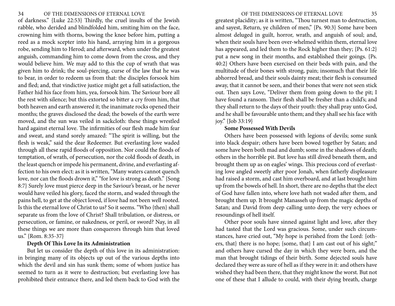<span id="page-17-0"></span>of darkness." {Luke 22:53} Thirdly, the cruel insults of the Jewish rabble, who derided and blindfolded him, smiting him on the face, crowning him with thorns, bowing the knee before him, putting a reed as a mock scepter into his hand, arraying him in a gorgeous robe, sending him to Herod; and afterward, when under the greatest anguish, commanding him to come down from the cross, and they would believe him. We may add to this the cup of wrath that was given him to drink; the soul-piercing, curse of the law that he was to bear, in order to redeem us from that: the disciples forsook him and fled; and, that vindictive justice might get a full satisfaction, the Father hid his face from him, yea, forsook him. The Saviour bore all the rest with silence; but this extorted so bitter a cry from him, that both heaven and earth answered it; the inanimate rocks opened their months; the graves disclosed the dead; the bowels of the earth were moved, and the sun was veiled in sackcloth: these things wrestled hard against eternal love. The infirmities of our flesh made him fear and sweat, and stand sorely amazed: "The spirit is willing, but the flesh is weak," said the dear Redeemer. But everlasting love waded through all these rapid floods of opposition. Nor could the floods of temptation, of wrath, of persecution, nor the cold floods of death, in the least quench or impede his permanent, divine, and everlasting affection to his own elect: as it is written, "Many waters cannot quench love, nor can the floods drown it," "for love is strong as death." {Song 8:7} Surely love must pierce deep in the Saviour's breast, or he never would have veiled his glory, faced the storm, and waded through the pains hell, to get at the object loved, if love had not been well rooted. Is this the eternal love of Christ to us? So it seems. "Who {then} shall separate us from the love of Christ? Shall tribulation, or distress, or persecution, or famine, or nakedness, or peril, or sword? Nay, in all these things we are more than conquerors through him that loved us." {Rom. 8:35-37}

# **Depth Of This Love In its Administration**

But let us consider the depth of this love in its administration: in bringing many of its objects up out of the various depths into which the devil and sin has sunk them; some of whom justice has seemed to turn as it were to destruction; but everlasting love has prohibited their entrance there, and led them back to God with the greatest placidity; as it is written, "Thou turnest man to destruction, and sayest, Return, ye children of men," {Ps. 90:3} Some have been almost deluged in guilt, horror, wrath, and anguish of soul; and, when their souls have been over-whelmed within them, eternal love has appeared, and led them to the Rock higher than they; {Ps. 61:2} put a new song in their months, and established their goings. {Ps. 40:2} Others have been exercised on their beds with pain, and the multitude of their bones with strong, pain; insomuch that their life abhorred bread, and their souls dainty meat; their flesh is consumed away, that it cannot be seen, and their bones that were not seen stick out. Then says Love, "Deliver them from going down to the pit; I have found a ransom. Their flesh shall be fresher than a child's; and they shall return to the days of their youth: they shall pray unto God, and he shall be favourable unto them; and they shall see his face with joy." {Job 33:19}

# **Some Possessed With Devils**

Others have been possessed with legions of devils; some sunk into black despair; others have been bowed together by Satan; and some have been both mad and dumb; some in the shadows of death; others in the horrible pit. But love has still dived beneath them, and brought them up as on eagles' wings. This precious cord of everlasting love angled sweetly after poor Jonah, when fatherly displeasure had raised a storm, and cast him overboard, and at last brought him up from the bowels of hell. In short, there are no depths that the elect of God have fallen into, where love hath not waded after them, and brought them up. It brought Manasseh up from the magic depths of Satan; and David from deep calling unto deep, the very echoes or resoundings of hell itself.

Other poor souls have sinned against light and love, after they had tasted that the Lord was gracious. Some, under such circumstances, have cried out, "My hope is perished from the Lord: {others, that} there is no hope; {some, that} I am cast out of his sight;" and others have cursed the day in which they were born, and the man that brought tidings of their birth. Some dejected souls have declared they were as sure of hell as if they were in it: and others have wished they had been there, that they might know the worst. But not one of these that I allude to could, with their dying breath, charge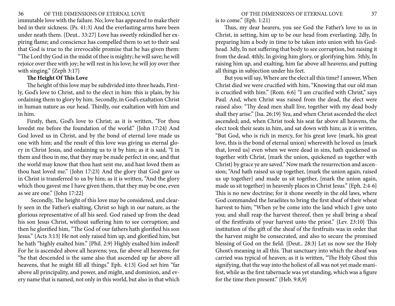<span id="page-18-0"></span>immutable love with the failure. No; love has appeared to make their bed in their sickness. {Ps. 41:3} And the everlasting arms have been under neath them. {Deut.. 33:27} Love has sweetly rekindled her expiring flame; and conscience has compelled them to set to their seal that God is true to the irrevocable promise that he has given them: "The Lord thy God in the midst of thee is mighty; he will save; he will rejoice over thee with joy; he will rest in his love; he will joy over thee with singing." {Zeph 3:17}

# **The Height Of This Love**

The height of this love may be subdivided into three heads, Firstly, God's love to Christ, and to the elect in him: this is plain, by his ordaining them to glory by him. Secondly, in God's exaltation Christ in human nature as our head. Thirdly, our exaltation with him and in him.

Firstly, then, God's love to Christ; as it is written, "For thou lovedst me before the foundation of the world." {John 17:24} And God loved us in Christ, and by the bond of eternal love made us one with him; and the result of this love was giving us eternal glory in Christ Jesus, and ordaining us to it by him; as it is said, "I in them and thou in me, that they may be made perfect in one, and that the world may know that thou hast sent me, and hast loved them as thou hast loved me." {John 17:23} And the glory that God gave us in Christ is transferred to us by him; as it is written, "And the glory which thou gavest me I have given them, that they may be one, even as we are one." {John 17:22}

 Secondly, The height of this love may be considered, and clearly seen in the Father's exalting, Christ so high in our nature, as the glorious representative of all his seed. God raised up from the dead his son Jesus Christ, without suffering him to see corruption; and then he glorified him, "The God of our fathers hath glorified his son Jesus." {Acts 3:13} He not only raised him up, and glorified him, but he hath "highly exalted him." {Phil. 2:9} Highly exalted him indeed! For he is ascended above all heavens; yea, far above all heavens; for "he that descended is the same also that ascended up far above all heavens, that he might fill all things." Eph. 4:13} God set him "far above all principality, and power, and might, and dominion, and every name that is named, not only in this world, but also in that which

is to come." {Eph. 1:21}

Thus, my dear hearers, you see God the Father's love to us in Christ, in setting, him up to be our head from everlasting. 2dly, In preparing him a body in time to be taken into union with his Godhead. 3dly, In not suffering that body to see corruption, but raising it from the dead. 4thly, In giving him glory, or glorifying him. 5thly, In raising him up, and exalting, him far above all heavens; and putting all things in subjection under his feet.

But you will say, Where are the elect all this time? I answer, When Christ died we were crucified with him, "Knowing that our old man is crucified with him." {Rom. 6:6} "I am crucified with Christ," says Paul. And, when Christ was raised from the dead, the elect were raised also: "Thy dead men shall live, together with my dead body shall they arise." {Isa. 26:19} Yea, and when Christ ascended the elect ascended; and, when Christ took his seat far above all heavens, the elect took their seats in him, and sat down with him; as it is written, "But God, who is rich in mercy, for his great love {mark, his great love, this is the bond of eternal union} wherewith he loved us {mark that, loved us} even when we were dead in sins, hath quickened us together with Christ, {mark the union, quickened us together with Christ} by grace ye are saved." Now mark the resurrection and ascension; "And hath raised us up together, {mark the union again, raised us up together} and made us sit together, {mark the union again, made us sit together} in heavenly places in Christ Jesus." {Eph. 2:4-6} This is no new doctrine; for it shone sweetly in the old laws, where God commanded the Israelites to bring the first sheaf of their wheat harvest to him; "When ye be come into the land which I give unto you; and shall reap the harvest thereof, then ye shall bring a sheaf of the firstfruits of your harvest unto the priest." {Lev. 23:10} This institution of the gift of the sheaf of the firstfruits was in order that the harvest might be consecrated, and also to secure the promised blessing of God on the field. {Deut.. 28:3} Let us now see the Holy Ghost's meaning in all this. That sanctuary into which the sheaf was carried was typical of heaven; as it is written, "The Holy Ghost this signifying, that the way into the holiest of all was not yet made manifest, while as the first tabernacle was yet standing, which was a figure for the time then present." {Heb. 9:8,9}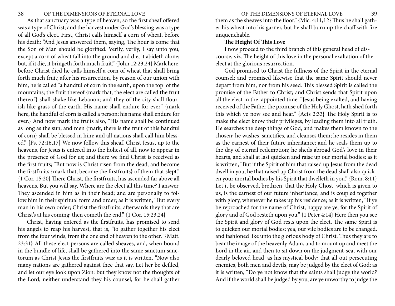<span id="page-19-0"></span>As that sanctuary was a type of heaven, so the first sheaf offered was a type of Christ; and the harvest under God's blessing was a type of all God's elect. First, Christ calls himself a corn of wheat, before his death: "And Jesus answered them, saying, The hour is come that the Son of Man should be glorified. Verily, verily, I say unto you, except a corn of wheat fall into the ground and die, it abideth alone; but, if it die, it bringeth forth much fruit." {John 12:23,24} Mark here, before Christ died he calls himself a corn of wheat that shall bring forth much fruit; after his resurrection, by reason of our union with him, he is called "a handful of corn in the earth, upon the top of the mountains; the fruit thereof {mark that, the elect are called the fruit thereof} shall shake like Lebanon; and they of the city shall flourish like grass of the earth. His name shall endure for ever" {mark here, the handful of corn is called a person; his name shall endure for ever.} And now mark the fruits also, "His name shall be continued as long as the sun; and men {mark, there is the fruit of this handful of corn} shall be blessed in him; and all nations shall call him blessed." {Ps. 72:16,17} We now follow this sheaf, Christ Jesus, up to the heavens, for Jesus is entered into the holiest of all, now to appear in the presence of God for us; and there we find Christ is received as the first fruits; "But now is Christ risen from the dead, and become the firstfruits {mark that, become the firstfruits} of them that slept." {1 Cor. 15:20} There Christ, the firstfruits, has ascended far above all heavens. But you will say, Where are the elect all this time? I answer, They ascended in him as in their head; and are personally to follow him in their spiritual form and order; as it is written, "But every man in his own order; Christ the firstfruits, afterwards they that are Christ's at his coming; then cometh the end." {1 Cor. 15:23,24}

Christ, having entered as the firstfruits, has promised to send his angels to reap his harvest, that is, "to gather together his elect from the four winds, from the one end of heaven to the other." {Matt. 23:31} All these elect persons are called sheaves, and, when bound in the bundle of life, shall be gathered into the same sanctum sanctorum as Christ Jesus the firstfruits was; as it is written, "Now also many nations are gathered against thee that say, Let her be defiled, and let our eye look upon Zion: but they know not the thoughts of the Lord, neither understand they his counsel, for he shall gather

them as the sheaves into the floor." {Mic. 4:11,12} Thus he shall gather his wheat into his garner, but he shall burn up the chaff with fire unquenchable.

#### **The Height Of This Love**

I now proceed to the third branch of this general head of discourse, viz. The height of this love in the personal exaltation of the elect at the glorious resurrection.

God promised to Christ the fullness of the Spirit in the eternal counsel; and promised likewise that the same Spirit should never depart from him, nor from his seed. This blessed Spirit is called the promise of the Father to Christ; and Christ sends that Spirit upon all the elect in the appointed time: "Jesus being exalted, and having received of the Father the promise of the Holy Ghost, hath shed forth this which ye now see and hear." {Acts 2:33} The Holy Spirit is to make the elect know their privileges, by leading them into all truth. He searches the deep things of God, and makes them known to the chosen; he washes, sanctifies, and cleanses them; he resides in them as the earnest of their future inheritance; and he seals them up to the day of eternal redemption; he sheds abroad God's love in their hearts, and shall at last quicken and raise up our mortal bodies; as it is written, "But if the Spirit of him that raised up Jesus from the dead dwell in you, he that raised up Christ from the dead shall also quicken your mortal bodies by his Spirit that dwelleth in you." {Rom. 8:11} Let it be observed, brethren, that the Holy Ghost, which is given to us, is the earnest of our future inheritance, and is coupled together with glory, whenever he takes up his residence; as it is written, "If ye be reproached for the name of Christ, happy are ye; for the Spirit of glory and of God resteth upon you." {1 Peter 4:14} Here then you see the Spirit and glory of God rests upon the elect. The same Spirit is to quicken our mortal bodies; yea, our vile bodies are to be changed, and fashioned like unto the glorious body of Christ. Thus they are to bear the image of the heavenly Adam, and to mount up and meet the Lord in the air, and then to sit down on the judgment-seat with our dearly beloved head, as his mystical body; that all out persecuting enemies, both men and devils, may be judged by the elect of God; as it is written, "Do ye not know that the saints shall judge the world? And if the world shall be judged by you, are ye unworthy to judge the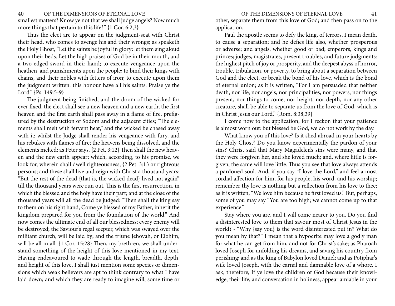40 OF THE DIMENSIONS OF ETERNAL LOVE OF THE DIMENSIONS OF ETERNAL LOVE 41 smallest matters? Know ye not that we shall judge angels? Now much more things that pertain to this life?" {1 Cor. 6:2,3}

Thus the elect are to appear on the judgment-seat with Christ their head, who comes to avenge his and their wrongs; as speaketh the Holy Ghost, "Let the saints be joyful in glory: let them sing aloud upon their beds. Let the high praises of God be in their mouth, and a two-edged sword in their hand; to execute vengeance upon the heathen, and punishments upon the people; to bind their kings with chains, and their nobles with fetters of iron; to execute upon them the judgment written: this honour have all his saints. Praise ye the Lord." {Ps. 149:5-9}

The judgment being finished, and the doom of the wicked for ever fixed, the elect shall see a new heaven and a new earth; the first heaven and the first earth shall pass away in a flame of fire, prefigured by the destruction of Sodom and the adjacent cities; "The elements shall melt with fervent heat," and the wicked be chased away with it; whilst the Judge shall render his vengeance with fury, and his rebukes with flames of fire; the heavens being dissolved, and the elements melted; as Peter says. {2 Pet. 3:12} Then shall the new heaven and the new earth appear; which, according, to his promise, we look for, wherein shall dwell righteousness, {2 Pet. 3:13 or righteous persons; and these shall live and reign with Christ a thousand years: "But the rest of the dead {that is, the wicked dead} lived not again" till the thousand years were run out. This is the first resurrection, in which the blessed and the holy have their part; and at the close of the thousand years will all the dead be judged: "Then shall the king say to them on his right hand, Come ye blessed of my Father, inherit the kingdom prepared for you from the foundation of the world." And now comes the ultimate end of all our blessedness; every enemy will be destroyed; the Saviour's regal scepter, which was swayed over the militant church, will be laid by; and the triune Jehovah, or Elohim, will be all in all. {1 Cor. 15:28} Then, my brethren, we shall understand something of the height of this love mentioned in my text. Having endeavoured to wade through the length, breadth, depth, and height of this love, I shall just mention some species or dimensions which weak believers are apt to think contrary to what I have laid down; and which they are ready to imagine will, some time or

other, separate them from this love of God; and then pass on to the application.

Paul the apostle seems to defy the king, of terrors. I mean death, to cause a separation; and he defies life also, whether prosperous or adverse; and angels, whether good or bad; emperors, kings and princes; judges, magistrates, present troubles, and future judgments: the highest pitch of joy or prosperity, and the deepest abyss of horror, trouble, tribulation, or poverty, to bring about a separation between God and the elect, or break the bond of his love, which is the bond of eternal union; as it is written, "For I am persuaded that neither death, nor life, nor angels, nor principalities, nor powers, nor things present, nor things to come, nor height, nor depth, nor any other creature, shall be able to separate us from the love of God, which is in Christ Jesus our Lord." {Rom. 8:38,39}

I come now to the application, for I reckon that your patience is almost worn out: but blessed be God, we do not work by the day.

What know you of this love? Is it shed abroad in your hearts by the Holy Ghost? Do you know experimentally the pardon of your sins? Christ said that Mary Magadelen's sins were many, and that they were forgiven her, and she loved much; and, where little is forgiven, the same will love little. Thus you see that love always attends a pardoned soul. And, if you say "I love the Lord," and feel a most cordial affection for him, for his people, his word, and his worship; remember thy love is nothing but a reflection from his love to thee; as it is written, "We love him because he first loved us." But, perhaps, some of you may say "You are too high; we cannot come up to that experience."

Stay where you are, and I will come nearer to you. Do you find a disinterested love to them that savour most of Christ Jesus in the world? - "Why {say you} is the word disinterested put in? What do you mean by that?" I mean that a hypocrite may love a godly man for what he can get from him, and not for Christ's sake; as Pharoah loved Joseph for unfolding his dreams, and saving his country from perishing; and as the king of Babylon loved Daniel; and as Potiphar's wife loved Joseph, with the carnal and damnable love of a whore. I ask, therefore, If ye love the children of God because their knowledge, their life, and conversation in holiness, appear amiable in your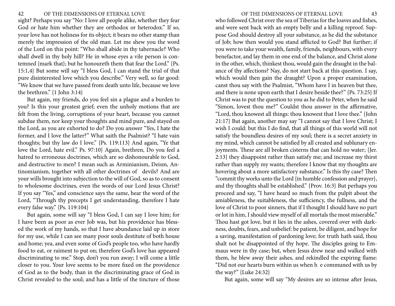#### 42 OF THE DIMENSIONS OF ETERNAL LOVE 43

sight? Perhaps you say "No: I love all people alike, whether they fear God or hate him whether they are orthodox or heterodox." If so, your love has not holiness for its object; it bears no other stamp than merely the impression of the old man. Let me shew you the word of the Lord on this point: "Who shall abide in thy tabernacle? Who shall dwell in thy holy hill? He in whose eyes a vile person is contemned {mark that}; but he honoureth them that fear the Lord." {Ps. 15:1,4} But some will say "I bless God, I can stand the trial of that pure disinterested love which you describe." Very well, so far good: "We know that we have passed from death unto life, because we love the brethren." {1 John 3:14}

But again, my friends, do you feel sin a plague and a burden to you? Is this your greatest grief; even the unholy motions that are felt from the living, corruptions of your heart, because you cannot subdue them, nor keep your thoughts and mind pure, and stayed on the Lord, as you are exhorted to do? Do you answer "Yes, I hate the former, and I love the latter?" What saith the Psalmist? "I hate vain thoughts; but thy law do I love." {Ps. 119:113} And again, "Ye that love the Lord, hate evil." Ps. 97:10} Again, brethren, Do you feel a hatred to erroneous doctrines, which are so dishonourable to God, and destructive to men? I mean such as Arminianism, Deism, Antinomianism, together with all other doctrines of devils? And are your wills brought into subjection to the will of God, so as to consent to wholesome doctrines, even the words of our Lord Jesus Christ? If you say "Yes," and conscience says the same, hear the word of the Lord, "Through thy precepts I get understanding, therefore I hate every false way." {Ps. 119:104}

But again, some will say "I bless God, I can say I love him; for I have been as poor as ever Job was, but his providence has blessed the work of my hands, so that I have abundance laid up in store for my use, while I can see many poor souls destitute of both house and home; yea, and even some of God's people too, who have hardly food to eat, or raiment to put on; therefore God's love has appeared discriminating to me." Stop, don't you run away; I will come a little closer to you. Your love seems to be more fixed on the providence of God as to the body, than in the discriminating grace of God in Christ revealed to the soul; and has a little of the tincture of those

who followed Christ over the sea of Tiberias for the loaves and fishes, and were sent back with an empty belly and a killing reproof. Suppose God should destroy all your substance, as he did the substance of Job; how then would you stand afflicted to God? But further; if you were to take your wealth, family, friends, neighbours, with every benefactor, and lay them in one end of the balance, and Christ alone in the other, which, thinkest thou, would gain the draught in the balance of thy affections? Nay, do not start back at this question. I say, which would then gain the draught? Upon a proper examination, canst thou say with the Psalmist, "Whom have I in heaven but thee, and there is none upon earth that I desire beside thee?" {Ps. 73:25} If Christ was to put the question to you as he did to Peter, when he said "Simon, lovest thou me?" Couldst thou answer in the affirmative, "Lord, thou knowest all things: thou knowest that I love thee." {John 21:17} But again, another may say "I cannot say that I love Christ; I wish I could: but this I do find, that all things of this world will not satisfy the boundless desires of my soul; there is a secret anxiety in my mind, which cannot be satisfied by all created and sublunary enjoyments. These are all broken cisterns that can hold no water; {Jer. 2:13} they disappoint rather than satisfy me; and increase my thirst rather than supply my wants; therefore I know that my thoughts are hovering about a more satisfactory substance." Is this thy case? Then "commit thy works unto the Lord {in humble confession and prayer}, and thy thoughts shall be established." {Prov. 16:3} But perhaps you proceed and say, "I have heard so much from the pulpit about the amiableness, the suitableness, the sufficiency, the fullness, and the love of Christ to poor sinners, that if I thought I should have no part or lot in him, I should view myself of all mortals the most miserable." Thou hast got love, but it lies in the ashes, covered over with darkness, doubts, fears, and unbelief: be patient, be diligent, and hope for a saving, manifestation of pardoning love; for truth hath said, thou shalt not be disappointed of thy hope. The disciples going to Emmaus were in thy case; but, when Jesus drew near and walked with them, he blew away their ashes, and rekindled the expiring flame: "Did not our hearts burn within us when h e communed with us by the way?" {Luke 24:32}

But again, some will say "My desires are so intense after Jesus,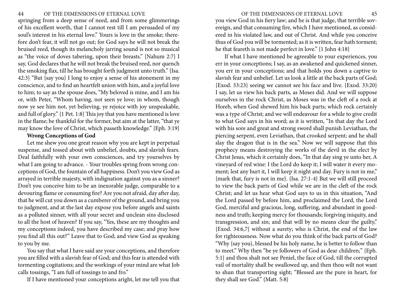<span id="page-22-0"></span>springing from a deep sense of need, and from some glimmerings of his excellent worth, that I cannot rest till I am persuaded of my soul's interest in his eternal love." Yours is love in the smoke; therefore don't fear, it will not go out; for God says he will not break the bruised reed, though its melancholy jarring sound is not so musical as "the voice of doves tabering, upon their breasts." {Nahum 2:7} I say, God declares that he will not break the bruised reed, nor quench the smoking flax, till he has brought forth judgment unto truth." {Isa. 42:3} "But {say you} I long to enjoy a sense of his atonement in my conscience, and to find an heartfelt union with him, and a joyful love to him; to say as the spouse does, "My beloved is mine, and I am his or, with Peter, "Whom having, not seen ye love; in whom, though now ye see him not, yet believing, ye rejoice with joy unspeakable, and full of glory." {1 Pet. 1:8} This joy that you have mentioned is love in the flame; be thankful for the former, but aim at the latter, "that ye may know the love of Christ, which passeth knowledge." {Eph. 3:19}

# **Wrong Conceptions of God**

Let me shew you one great reason why you are kept in perpetual suspense, and tossed about with unbelief, doubts, and slavish fears. Deal faithfully with your own consciences, and try yourselves by what I am going to advance. - Your troubles spring from wrong conceptions of God, the fountain of all happiness. Don't you view God as arrayed in terrible majesty, with indignation against you as a sinner? Don't you conceive him to be an inexorable judge, comparable to a devouring flame or consuming fire? Are you not afraid, day after day, that he will cut you down as a cumberer of the ground, and bring you to judgment, and at the last day expose you before angels and saints as a polluted sinner, with all your secret and unclean sins disclosed to all the host of heaven? If you say, "Yes, these are my thoughts and my conceptions indeed, you have described my case; and pray how you find all this out?" Leave that to God; and view God as speaking to you by me.

You say that what I have said are your conceptions, and therefore you are filled with a slavish fear of God; and this fear is attended with tormenting cogitations; and the workings of your mind are what Job calls tossings, "I am full of tossings to and fro."

If I have mentioned your conceptions aright, let me tell you that

you view God in his fiery law; and he is that judge, that terrible sovereign, and that consuming fire, which I have mentioned, as considered in his violated law, and out of Christ. And while you conceive thus of God you will be tormented; as it is written, fear hath torment; he that feareth is not made perfect in love." {1 John 4:18}

If what I have mentioned be agreeable to your experiences, you err in your conceptions; I say, as an awakened and quickened sinner, you err in your conceptions; and that holds you down a captive to slavish fear and unbelief. Let us look a little at the back parts of God; {Exod. 33:23} seeing we cannot see his face and live. {Exod. 33:20} I say, let us view his back parts, as Moses did. And we will suppose ourselves in the rock Christ, as Moses was in the cleft of a rock at Horeb, when God shewed him his back parts; which rock certainly was a type of Christ; and we will endeavour for a while to give credit to what God says in his word; as it is written, "In that day the Lord with his sore and great and strong sword shall punish Leviathan, the piercing serpent, even Leviathan, that crooked serpent; and he shall slay the dragon that is in the sea." Now we will suppose that this prophecy means destroying the works of the devil in the elect by Christ Jesus, which it certainly does, "In that day sing ye unto her, A vineyard of red wine: I the Lord do keep it; I will water it every moment; lest any hurt it, I will keep it night and day. Fury is not in me," {mark that, fury is not in me}. {Isa. 27:1-4} But we will still proceed to view the back parts of God while we are in the cleft of the rock Christ; and let us hear what God says to us in this situation, "And the Lord passed by before him, and proclaimed the Lord, the Lord God, merciful and gracious, long, suffering, and abundant in goodness and truth; keeping mercy for thousands; forgiving iniquity, and transgression, and sin; and that will by no means clear the guilty," {Exod. 34:6,7} without a surety; who is Christ, the end of the law for righteousness. Now what do you think of the back parts of God? "Why {say you}, blessed be his holy name, he is better to follow than to meet." Why then "be ye followers of God as dear children;" {Eph. 5:1} and thou shalt not see Peniel, the face of God, till the corrupted vail of mortality shall be swallowed up, and then thou wilt not want to shun that transporting sight; "Blessed are the pure in heart, for they shall see God." {Matt. 5:8}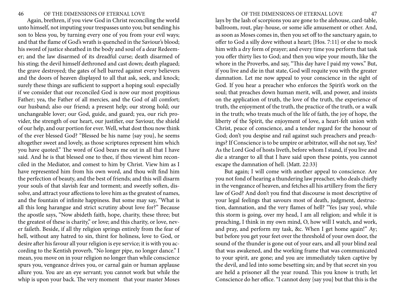Again, brethren, if you view God in Christ reconciling the world unto himself, not imputing your trespasses unto you; but sending his son to bless you, by turning every one of you from your evil ways; and that the flame of God's wrath is quenched in the Saviour's blood; his sword of justice sheathed in the body and soul of a dear Redeemer; and the law disarmed of its dreadful curse; death disarmed of his sting; the devil himself dethroned and cast down; death plagued; the grave destroyed; the gates of hell barred against every believers and the doors of heaven displayed to all that ask, seek, and knock; surely these things are sufficient to support a hoping soul: especially if we consider that our reconciled God is now our most propitious Father; yea, the Father of all mercies, and the God of all comfort; our husband; also our friend; a present help; our strong hold; our unchangeable lover; our God, guide, and guard; yea, our rich provider, the strength of our heart, our justifier, our Saviour, the shield of our help, and our portion for ever. Well, what dost thou now think of the ever blessed God? "Blessed be his name {say you}, he seems altogether sweet and lovely, as those scriptures represent him which you have quoted." The word of God bears me out in all that I have said. And he is that blessed one to thee, if thou viewest him reconciled in the Mediator, and comest to him by Christ. View him as I have represented him from his own word, and thou wilt find him the perfection of beauty, and the best of friends; and this will disarm your souls of that slavish fear and torment; and sweetly soften, dissolve, and attract your affections to love him as the greatest of names, and the fountain of infinite happiness. But some may say, "What is all this long harangue and strict scrutiny about love for?" Because the apostle says, "Now abideth faith, hope, charity, these three; but the greatest of these is charity," or love; and this charity, or love, never faileth. Beside, if all thy religion springs entirely from the fear of hell, without any hatred to sin, thirst for holiness, love to God, or desire after his favour all your religion is eye service; it is with you according to the Kentish proverb, "No longer pipe, no longer dance." I mean, you move on in your religion no longer than while conscience spurs you, vengeance drives you, or carnal gain or human applause allure you. You are an eye servant; you cannot work but while the whip is upon your back. The very moment that your master Moses

lays by the lash of scorpions you are gone to the alehouse, card-table, ballroom, rout, play-house, or some idle amusement or other. And, as soon as Moses comes in, then you set off to the sanctuary again, to offer to God a silly dove without a heart; {Hos. 7:11} or else to mock him with a dry form of prayer; and every time you perform that task you offer thirty lies to God; and then you wipe your mouth, like the whore in the Proverbs, and say, "This day have I paid my vows." But, if you live and die in that state, God will requite you with the greater damnation. Let me now appeal to your conscience in the sight of God. If you hear a preacher who enforces the Spirit's work on the soul; that preaches down human merit, will, and power, and insists on the application of truth, the love of the truth, the experience of truth, the enjoyment of the truth, the practice of the truth, or a walk in the truth; who treats much of the life of faith, the joy of hope, the liberty of the Spirit, the enjoyment of love, a heart-felt union with Christ, peace of conscience, and a tender regard for the honour of God; don't you despise and rail against such preachers and preachings? If Conscience is to be umpire or arbitrator, will she not say, Yes? As the Lord God of hosts liveth, before whom I stand, if you live and die a stranger to all that I have said upon these points, you cannot escape the damnation of hell. {Matt. 22:33}

But again; I will come with another appeal to conscience. Are you not fond of hearing a thundering law preacher, who deals chiefly in the vengeance of heaven, and fetches all his artillery from the fiery law of God? And don't you find that discourse is most descriptive of your legal feelings that savours most of death, judgment, destruction, damnation, and the very flames of hell? "Yes {say you}, while this storm is going, over my head, I am all religion; and while it is preaching, I think in my own mind, O, how will I watch, and work, and pray, and perform my task, &c. When I get home again!" Ay; but before you get your feet over the threshold of your own door, the sound of the thunder is gone out of your ears, and all your blind zeal that was awakened, and the working frame that was communicated to your spirit, are gone; and you are immediately taken captive by the devil, and led into some besetting sin; and by that secret sin you are held a prisoner all the year round. This you know is truth; let Conscience do her office. "I cannot deny {say you} but that this is the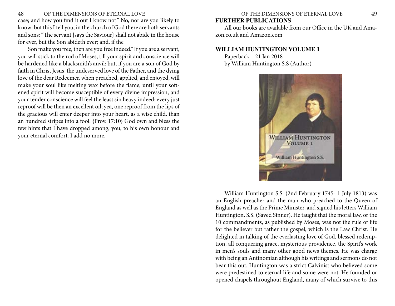# <span id="page-24-0"></span>48 OF THE DIMENSIONS OF ETERNAL LOVE OF THE DIMENSIONS OF ETERNAL LOVE 49 case; and how you find it out I know not." No, nor are you likely to know: but this I tell you, in the church of God there are both servants and sons: "The servant {says the Saviour} shall not abide in the house

for ever, but the Son abideth ever; and, if the Son make you free, then are you free indeed." If you are a servant, you will stick to the rod of Moses, till your spirit and conscience will be hardened like a blacksmith's anvil: but, if you are a son of God by faith in Christ Jesus, the undeserved love of the Father, and the dying love of the dear Redeemer, when preached, applied, and enjoyed, will make your soul like melting wax before the flame, until your softened spirit will become susceptible of every divine impression, and your tender conscience will feel the least sin heavy indeed: every just reproof will be then an excellent oil; yea, one reproof from the lips of the gracious will enter deeper into your heart, as a wise child, than an hundred stripes into a fool. {Prov. 17:10} God own and bless the few hints that I have dropped among, you, to his own honour and your eternal comfort. I add no more.

# **FURTHER PUBLICATIONS**

All our books are available from our Office in the UK and Amazon.co.uk and Amazon.com

# **WILLIAM HUNTINGTON VOLUME 1**

Paperback – 21 Jan 2018 by William Huntington S.S (Author)



William Huntington S.S. (2nd February 1745- 1 July 1813) was an English preacher and the man who preached to the Queen of England as well as the Prime Minister, and signed his letters William Huntington, S.S. (Saved Sinner). He taught that the moral law, or the 10 commandments, as published by Moses, was not the rule of life for the believer but rather the gospel, which is the Law Christ. He delighted in talking of the everlasting love of God, blessed redemption, all conquering grace, mysterious providence, the Spirit's work in men's souls and many other good news themes. He was charge with being an Antinomian although his writings and sermons do not bear this out. Huntington was a strict Calvinist who believed some were predestined to eternal life and some were not. He founded or opened chapels throughout England, many of which survive to this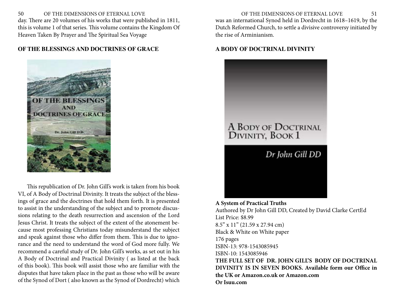<span id="page-25-0"></span>50 OF THE DIMENSIONS OF ETERNAL LOVE OF THE DIMENSIONS OF ETERNAL LOVE 51 day. There are 20 volumes of his works that were published in 1811, this is volume 1 of that series. This volume contains the Kingdom Of Heaven Taken By Prayer and The Spiritual Sea Voyage

# **OF THE BLESSINGS AND DOCTRINES OF GRACE**



This republication of Dr. John Gill's work is taken from his book VI, of A Body of Doctrinal Divinity. It treats the subject of the blessings of grace and the doctrines that hold them forth. It is presented to assist in the understanding of the subject and to promote discussions relating to the death resurrection and ascension of the Lord Jesus Christ. It treats the subject of the extent of the atonement because most professing Christians today misunderstand the subject and speak against those who differ from them. This is due to ignorance and the need to understand the word of God more fully. We recommend a careful study of Dr. John Gill's works, as set out in his A Body of Doctrinal and Practical Divinity ( as listed at the back of this book). This book will assist those who are familiar with the disputes that have taken place in the past as those who will be aware of the Synod of Dort ( also known as the Synod of Dordrecht) which was an international Synod held in Dordrecht in 1618–1619, by the Dutch Reformed Church, to settle a divisive controversy initiated by the rise of Arminianism.

# **A BODY OF DOCTRINAL DIVINITY**



**A System of Practical Truths** Authored by Dr John Gill DD, Created by David Clarke CertEd List Price: \$8.99 8.5" x 11" (21.59 x 27.94 cm) Black & White on White paper 176 pages ISBN-13: 978-1543085945 ISBN-10: 1543085946 **THE FULL SET OF DR. JOHN GILL'S BODY OF DOCTRINAL DIVINITY IS IN SEVEN BOOKS. Available form our Office in the UK or Amazon.co.uk or Amazon.com Or Isuu.com**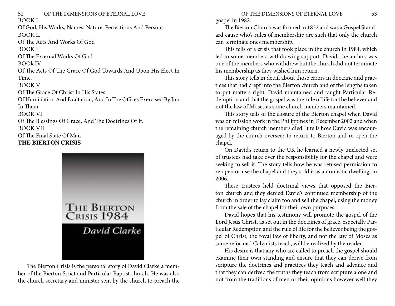<span id="page-26-0"></span>52 OF THE DIMENSIONS OF ETERNAL LOVE OF THE DIMENSIONS OF ETERNAL LOVE 53 BOOK I Of God, His Works, Names, Nature, Perfections And Persons. BOOK II Of The Acts And Works Of God BOOK III Of The External Works Of God BOOk IV Of The Acts Of The Grace Of God Towards And Upon His Elect In Time. BOOK V Of The Grace Of Christ In His States Of Humiliation And Exaltation, And In The Offices Exercised By Jim In Them. BOOK VI Of The Blessings Of Grace, And The Doctrines Of It. BOOK VII Of The Final State Of Man **THE BIERTON CRISIS**



The Bierton Crisis is the personal story of David Clarke a member of the Bierton Strict and Particular Baptist church. He was also the church secretary and minister sent by the church to preach the gospel in 1982.

The Bierton Church was formed in 1832 and was a Gospel Standard cause who's rules of membership are such that only the church can terminate ones membership.

This tells of a crisis that took place in the church in 1984, which led to some members withdrawing support. David, the author, was one of the members who withdrew but the church did not terminate his membership as they wished him return.

This story tells in detail about those errors in doctrine and practices that had crept into the Bierton church and of the lengths taken to put matters right. David maintained and taught Particular Redemption and that the gospel was the rule of life for the believer and not the law of Moses as some church members maintained.

This story tells of the closure of the Bierton chapel when David was on mission work in the Philippines in December 2002 and when the remaining church members died. It tells how David was encouraged by the church overseer to return to Bierton and re-open the chapel.

On David's return to the UK he learned a newly unelected set of trustees had take over the responsibility for the chapel and were seeking to sell it. The story tells how he was refused permission to re open or use the chapel and they sold it as a domestic dwelling, in 2006.

These trustees held doctrinal views that opposed the Bierton church and they denied David's continued membership of the church in order to lay claim too and sell the chapel, using the money from the sale of the chapel for their own purposes.

David hopes that his testimony will promote the gospel of the Lord Jesus Christ, as set out in the doctrines of grace, especially Particular Redemption and the rule of life for the believer being the gospel of Christ, the royal law of liberty, and not the law of Moses as some reformed Calvinists teach, will be realized by the reader.

His desire is that any who are called to preach the gospel should examine their own standing and ensure that they can derive from scripture the doctrines and practices they teach and advance and that they can derived the truths they teach from scripture alone and not from the traditions of men or their opinions however well they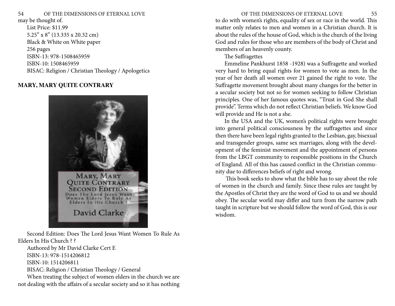<span id="page-27-0"></span>may be thought of.

List Price: \$11.99 5.25" x 8" (13.335 x 20.32 cm) Black & White on White paper 256 pages ISBN-13: 978-1508465959 ISBN-10: 1508465959 BISAC: Religion / Christian Theology / Apologetics

# **MARY, MARY QUITE CONTRARY**



Second Edition: Does The Lord Jesus Want Women To Rule As Elders In His Church ? ? Authored by Mr David Clarke Cert E ISBN-13: 978-1514206812

ISBN-10: 1514206811

BISAC: Religion / Christian Theology / General

When treating the subject of women elders in the church we are not dealing with the affairs of a secular society and so it has nothing

to do with women's rights, equality of sex or race in the world. This matter only relates to men and women in a Christian church. It is about the rules of the house of God, which is the church of the living God and rules for those who are members of the body of Christ and members of an heavenly county.

# The Suffragettes

Emmeline Pankhurst 1858 -1928) was a Suffragette and worked very hard to bring equal rights for women to vote as men. In the year of her death all women over 21 gained the right to vote. The Suffragette movement brought about many changes for the better in a secular society but not so for women seeking to follow Christian principles. One of her famous quotes was, "Trust in God She shall provide". Terms which do not reflect Christian beliefs. We know God will provide and He is not a she.

In the USA and the UK, women's political rights were brought into general political consciousness by the suffragettes and since then there have been legal rights granted to the Lesbian, gay, bisexual and transgender groups, same sex marriages, along with the development of the feminist movement and the appointment of persons from the LBGT community to responsible positions in the Church of England. All of this has caused conflict in the Christian community due to differences beliefs of right and wrong.

 This book seeks to show what the bible has to say about the role of women in the church and family. Since these rules are taught by the Apostles of Christ they are the word of God to us and we should obey. The secular world may differ and turn from the narrow path taught in scripture but we should follow the word of God, this is our wisdom.